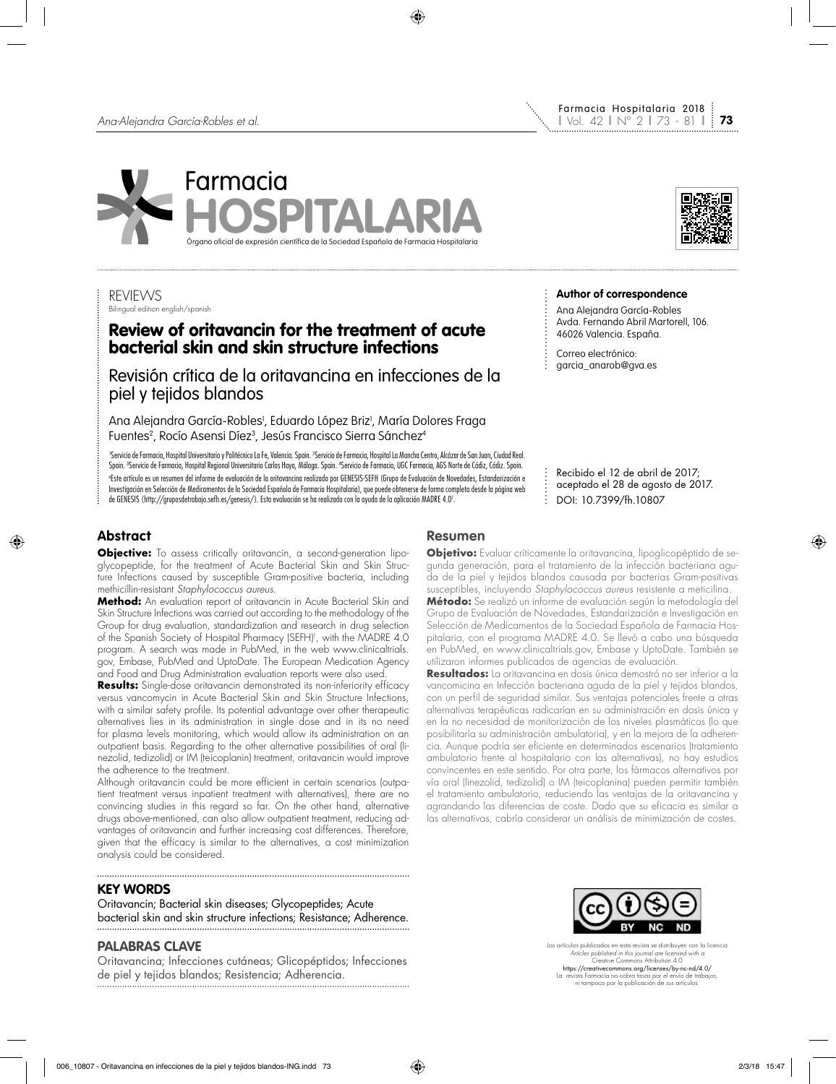



Farmacia Hospitalaria 2018

### REVIEWS Bilingual edition english/spanish

# Review of oritavancin for the treatment of acute bacterial skin and skin structure infections

Revisión crítica de la oritavancina en infecciones de la piel y tejidos blandos

Ana Alejandra García-Robles<sup>,</sup> Eduardo López Briz<sup>,</sup>, María Dolores Fraga Fuentes<sup>2</sup>, Rocío Asensi Díez<sup>3</sup>, Jesús Francisco Sierra Sánchez<sup>4</sup>

'Servicio de Farmacia, Hospital Universitario y Politécnico La Fe, Valencia. Spain. ?Servicio de Farmacia, Hospital La Mancha Centro, Alcázar de San Juan, Ciudad Real. Spain. <sup>3</sup>Servicio de Farmacia, Hospital Regional Universitario Carlos Haya, Málaga. Spain. <sup>4</sup>Servicio de Farmacia, UGC Farmacia, AGS Norte de Cádiz, Cádiz. Spain. a Este artículo es un resumen del informe de evaluación de la oritavancina realizado por GENESIS-SEFH (Grupo de Evaluación de Novedades, Estandarización e Investigación en Selección de Medicamentos de la Sociedad Española de Farmacia Hospitalaria), que puede obtenerse de forma completa desde la página web de GENESIS (http://gruposdetrabajo.sefh.es/genesis/). Esta evaluación se ha realizado con la ayuda de la aplicación MADRE 4.01 .

aceptado el 28 de agosto de 2017. DOI: 10.7399/fh.10807

Recibido el 12 de abril de 2017;

**Author of correspondence** Ana Alejandra García-Robles Avda. Fernando Abril Martorell, 106.

46026 Valencia. España. Correo electrónico: garcia\_anarob@gva.es

# **Abstract**

**Objective:** To assess critically oritavancin, a second-generation lipoglycopeptide, for the treatment of Acute Bacterial Skin and Skin Structure Infections caused by susceptible Gram-positive bacteria, including methicillin-resistant *Staphylococcus aureus*.

**Method:** An evaluation report of oritavancin in Acute Bacterial Skin and Skin Structure Infections was carried out according to the methodology of the Group for drug evaluation, standardization and research in drug selection of the Spanish Society of Hospital Pharmacy (SEFH)<sup>)</sup>, with the MADRE 4.0 program. A search was made in PubMed, in the web www.clinicaltrials. gov, Embase, PubMed and UptoDate. The European Medication Agency and Food and Drug Administration evaluation reports were also used.

**Results:** Single-dose oritavancin demonstrated its non-inferiority efficacy versus vancomycin in Acute Bacterial Skin and Skin Structure Infections, with a similar safety profile. Its potential advantage over other therapeutic alternatives lies in its administration in single dose and in its no need for plasma levels monitoring, which would allow its administration on an outpatient basis. Regarding to the other alternative possibilities of oral (linezolid, tedizolid) or IM (teicoplanin) treatment, oritavancin would improve the adherence to the treatment.

Although oritavancin could be more efficient in certain scenarios (outpatient treatment versus inpatient treatment with alternatives), there are no convincing studies in this regard so far. On the other hand, alternative drugs above-mentioned, can also allow outpatient treatment, reducing advantages of oritavancin and further increasing cost differences. Therefore, given that the efficacy is similar to the alternatives, a cost minimization analysis could be considered.

# **KEY WORDS**

Oritavancin; Bacterial skin diseases; Glycopeptides; Acute bacterial skin and skin structure infections; Resistance; Adherence.

# **PALABRAS CLAVE**

Oritavancina; Infecciones cutáneas; Glicopéptidos; Infecciones de piel y tejidos blandos; Resistencia; Adherencia.

# **Resumen**

**Objetivo:** Evaluar críticamente la oritavancina, lipoglicopéptido de segunda generación, para el tratamiento de la infección bacteriana aguda de la piel y tejidos blandos causada por bacterias Gram-positivas susceptibles, incluyendo *Staphylococcus aureus* resistente a meticilina.

÷

**Método:** Se realizó un informe de evaluación según la metodología del Grupo de Evaluación de Novedades, Estandarización e Investigación en Selección de Medicamentos de la Sociedad Española de Farmacia Hospitalaria, con el programa MADRE 4.0. Se llevó a cabo una búsqueda en PubMed, en www.clinicaltrials.gov, Embase y UptoDate. También se utilizaron informes publicados de agencias de evaluación.

**Resultados:** La oritavancina en dosis única demostró no ser inferior a la vancomicina en Infección bacteriana aguda de la piel y tejidos blandos, con un perfil de seguridad similar. Sus ventajas potenciales frente a otras alternativas terapéuticas radicarían en su administración en dosis única y en la no necesidad de monitorización de los niveles plasmáticos (lo que posibilitaría su administración ambulatoria), y en la mejora de la adherencia. Aunque podría ser eficiente en determinados escenarios (tratamiento ambulatorio frente al hospitalario con las alternativas), no hay estudios convincentes en este sentido. Por otra parte, los fármacos alternativos por vía oral (linezolid, tedizolid) o IM (teicoplanina) pueden permitir también el tratamiento ambulatorio, reduciendo las ventajas de la oritavancina y agrandando las diferencias de coste. Dado que su eficacia es similar a las alternativas, cabría considerar un análisis de minimización de costes.



Los artículos publicados en esta revista se distribuyen con la licencia *Articles published in this journal are licensed with a* Creative Commons Attribution 4.0 https://creativecommons.org/licenses/by-nc-nd/4.0/ La revista Farmacia no cobra tasas por el envío de trabajos, ni tampoco por la publicación de sus artículos.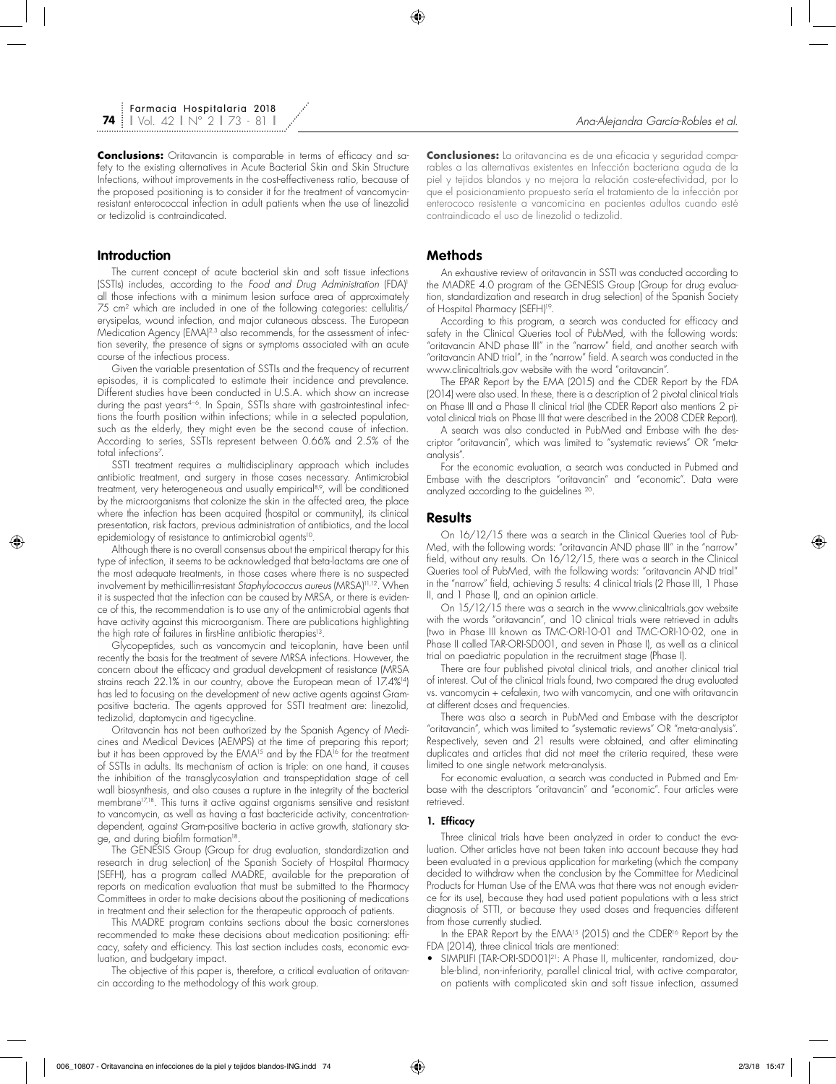# **Introduction**

The current concept of acute bacterial skin and soft tissue infections (SSTIs) includes, according to the *Food and Drug Administration* (FDA)1 all those infections with a minimum lesion surface area of approximately 75 cm2 which are included in one of the following categories: cellulitis/ erysipelas, wound infection, and major cutaneous abscess. The European Medication Agency (EMA)<sup>2,3</sup> also recommends, for the assessment of infection severity, the presence of signs or symptoms associated with an acute course of the infectious process.

Given the variable presentation of SSTIs and the frequency of recurrent episodes, it is complicated to estimate their incidence and prevalence. Different studies have been conducted in U.S.A. which show an increase during the past years<sup>4-6</sup>. In Spain, SSTIs share with gastrointestinal infections the fourth position within infections; while in a selected population, such as the elderly, they might even be the second cause of infection. According to series, SSTIs represent between 0.66% and 2.5% of the total intections<sup>7</sup>.

SSTI treatment requires a multidisciplinary approach which includes antibiotic treatment, and surgery in those cases necessary. Antimicrobial treatment, very heterogeneous and usually empirical<sup>8,9</sup>, will be conditioned by the microorganisms that colonize the skin in the affected area, the place where the infection has been acquired (hospital or community), its clinical presentation, risk factors, previous administration of antibiotics, and the local epidemiology of resistance to antimicrobial agents<sup>10</sup>.

Although there is no overall consensus about the empirical therapy for this type of infection, it seems to be acknowledged that beta-lactams are one of the most adequate treatments, in those cases where there is no suspected involvement by methicillin-resistant *Staphylococcus aureus* (MRSA)11,12. When it is suspected that the infection can be caused by MRSA, or there is evidence of this, the recommendation is to use any of the antimicrobial agents that have activity against this microorganism. There are publications highlighting the high rate of failures in first-line antibiotic therapies<sup>13</sup>.

Glycopeptides, such as vancomycin and teicoplanin, have been until recently the basis for the treatment of severe MRSA infections. However, the concern about the efficacy and gradual development of resistance (MRSA strains reach 22.1% in our country, above the European mean of 17.4%14) has led to focusing on the development of new active agents against Grampositive bacteria. The agents approved for SSTI treatment are: linezolid, tedizolid, daptomycin and tigecycline.

Oritavancin has not been authorized by the Spanish Agency of Medicines and Medical Devices (AEMPS) at the time of preparing this report; but it has been approved by the EMA<sup>15</sup> and by the FDA<sup>16</sup> for the treatment of SSTIs in adults. Its mechanism of action is triple: on one hand, it causes the inhibition of the transglycosylation and transpeptidation stage of cell wall biosynthesis, and also causes a rupture in the integrity of the bacterial membrane<sup>17,18</sup>. This turns it active against organisms sensitive and resistant to vancomycin, as well as having a fast bactericide activity, concentrationdependent, against Gram-positive bacteria in active growth, stationary stage, and during biofilm formation<sup>18</sup>

The GENESIS Group (Group for drug evaluation, standardization and research in drug selection) of the Spanish Society of Hospital Pharmacy (SEFH), has a program called MADRE, available for the preparation of reports on medication evaluation that must be submitted to the Pharmacy Committees in order to make decisions about the positioning of medications in treatment and their selection for the therapeutic approach of patients.

This MADRE program contains sections about the basic cornerstones recommended to make these decisions about medication positioning: efficacy, safety and efficiency. This last section includes costs, economic evaluation, and budgetary impact.

The objective of this paper is, therefore, a critical evaluation of oritavancin according to the methodology of this work group.

**Conclusiones:** La oritavancina es de una eficacia y seguridad comparables a las alternativas existentes en Infección bacteriana aguda de la piel y tejidos blandos y no mejora la relación coste-efectividad, por lo que el posicionamiento propuesto sería el tratamiento de la infección por enterococo resistente a vancomicina en pacientes adultos cuando esté contraindicado el uso de linezolid o tedizolid.

## **Methods**

An exhaustive review of oritavancin in SSTI was conducted according to the MADRE 4.0 program of the GENESIS Group (Group for drug evaluation, standardization and research in drug selection) of the Spanish Society of Hospital Pharmacy (SEFH)<sup>19</sup>.

According to this program, a search was conducted for efficacy and safety in the Clinical Queries tool of PubMed, with the following words: "oritavancin AND phase III" in the "narrow" field, and another search with "oritavancin AND trial", in the "narrow" field. A search was conducted in the www.clinicaltrials.gov website with the word "oritavancin".

The EPAR Report by the EMA (2015) and the CDER Report by the FDA (2014) were also used. In these, there is a description of 2 pivotal clinical trials on Phase III and a Phase II clinical trial (the CDER Report also mentions 2 pivotal clinical trials on Phase III that were described in the 2008 CDER Report).

A search was also conducted in PubMed and Embase with the descriptor "oritavancin", which was limited to "systematic reviews" OR "metaanalysis".

For the economic evaluation, a search was conducted in Pubmed and Embase with the descriptors "oritavancin" and "economic". Data were analyzed according to the guidelines 20.

### **Results**

On 16/12/15 there was a search in the Clinical Queries tool of Pub-Med, with the following words: "oritavancin AND phase III" in the "narrow" field, without any results. On 16/12/15, there was a search in the Clinical Queries tool of PubMed, with the following words: "oritavancin AND trial" in the "narrow" field, achieving 5 results: 4 clinical trials (2 Phase III, 1 Phase II, and 1 Phase I), and an opinion article.

On 15/12/15 there was a search in the www.clinicaltrials.gov website with the words "oritavancin", and 10 clinical trials were retrieved in adults (two in Phase III known as TMC-ORI-10-01 and TMC-ORI-10-02, one in Phase II called TAR-ORI-SD001, and seven in Phase I), as well as a clinical trial on paediatric population in the recruitment stage (Phase I).

There are four published pivotal clinical trials, and another clinical trial of interest. Out of the clinical trials found, two compared the drug evaluated vs. vancomycin + cefalexin, two with vancomycin, and one with oritavancin at different doses and frequencies.

There was also a search in PubMed and Embase with the descriptor "oritavancin", which was limited to "systematic reviews" OR "meta-analysis". Respectively, seven and 21 results were obtained, and after eliminating duplicates and articles that did not meet the criteria required, these were limited to one single network meta-analysis.

For economic evaluation, a search was conducted in Pubmed and Embase with the descriptors "oritavancin" and "economic". Four articles were retrieved.

#### 1. Efficacy

Three clinical trials have been analyzed in order to conduct the evaluation. Other articles have not been taken into account because they had been evaluated in a previous application for marketing (which the company decided to withdraw when the conclusion by the Committee for Medicinal Products for Human Use of the EMA was that there was not enough evidence for its use), because they had used patient populations with a less strict diagnosis of STTI, or because they used doses and frequencies different from those currently studied.

In the EPAR Report by the EMA<sup>15</sup> (2015) and the CDER<sup>16</sup> Report by the FDA (2014), three clinical trials are mentioned:

• SIMPLIFI (TAR-ORI-SD001)<sup>21</sup>: A Phase II, multicenter, randomized, double-blind, non-inferiority, parallel clinical trial, with active comparator, on patients with complicated skin and soft tissue infection, assumed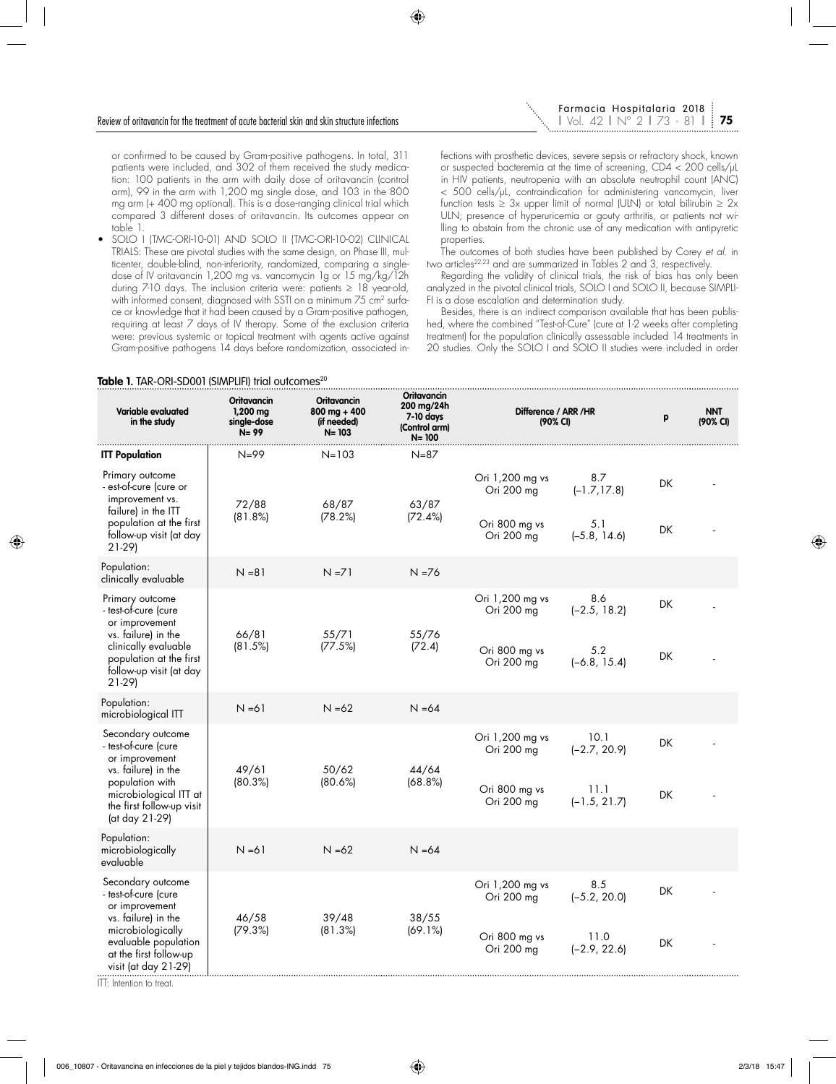or confirmed to be caused by Gram-positive pathogens. In total, 311 patients were included, and 302 of them received the study medication: 100 patients in the arm with daily dose of oritavancin (control arm), 99 in the arm with 1,200 mg single dose, and 103 in the 800 mg arm (+ 400 mg optional). This is a dose-ranging clinical trial which compared 3 different doses of oritavancin. Its outcomes appear on table 1.

• SOLO I (TMC-ORI-10-01) AND SOLO II (TMC-ORI-10-02) CLINICAL TRIALS: These are pivotal studies with the same design, on Phase III, multicenter, double-blind, non-inferiority, randomized, comparing a singledose of IV oritavancin 1,200 mg vs. vancomycin 1g or 15 mg/kg/12h during 7-10 days. The inclusion criteria were: patients ≥ 18 year-old, with informed consent, diagnosed with SSTI on a minimum 75 cm<sup>2</sup> surface or knowledge that it had been caused by a Gram-positive pathogen, requiring at least 7 days of IV therapy. Some of the exclusion criteria were: previous systemic or topical treatment with agents active against Gram-positive pathogens 14 days before randomization, associated in-

fections with prosthetic devices, severe sepsis or refractory shock, known or suspected bacteremia at the time of screening, CD4 < 200 cells/μL in HIV patients, neutropenia with an absolute neutrophil count (ANC) < 500 cells/μL, contraindication for administering vancomycin, liver function tests  $\geq 3x$  upper limit of normal (ULN) or total bilirubin  $\geq 2x$ ULN; presence of hyperuricemia or gouty arthritis, or patients not willing to abstain from the chronic use of any medication with antipyretic properties.

The outcomes of both studies have been published by Corey *et al.* in two articles<sup>22,23</sup> and are summarized in Tables<sup>2</sup> and 3, respectively.

Regarding the validity of clinical trials, the risk of bias has only been analyzed in the pivotal clinical trials, SOLO I and SOLO II, because SIMPLI-FI is a dose escalation and determination study.

Besides, there is an indirect comparison available that has been published, where the combined "Test-of-Cure" (cure at 1-2 weeks after completing treatment) for the population clinically assessable included 14 treatments in 20 studies. Only the SOLO I and SOLO II studies were included in order

| Variable evaluated<br>in the study                                                                                                                                                | Oritavancin<br>$1,200$ mg<br>single-dose<br>$N = 99$ | <b>Oritavancin</b><br>$800 \text{ mg} + 400$<br>(if needed)<br>$N = 103$ | <b>Oritavancin</b><br>200 mg/24h<br>7-10 days<br>(Control arm)<br>$N = 100$ | Difference / ARR / HR<br>(90% CI)                            |                                                  | p        | <b>NNT</b><br>(90% CI) |
|-----------------------------------------------------------------------------------------------------------------------------------------------------------------------------------|------------------------------------------------------|--------------------------------------------------------------------------|-----------------------------------------------------------------------------|--------------------------------------------------------------|--------------------------------------------------|----------|------------------------|
| <b>ITT Population</b>                                                                                                                                                             | $N = 99$                                             | $N = 103$                                                                | $N = 87$                                                                    |                                                              |                                                  |          |                        |
| Primary outcome<br>- est-of-cure (cure or<br>improvement vs.<br>failure) in the ITT<br>population at the first<br>follow-up visit (at day<br>$21-29$                              | 72/88<br>(81.8%)                                     | 68/87<br>(78.2%)                                                         | 63/87<br>(72.4%)                                                            | Ori 1,200 mg vs<br>Ori 200 mg<br>Ori 800 mg vs<br>Ori 200 mg | 8.7<br>$(-1.7, 17.8)$<br>5.1<br>$(-5.8, 14.6)$   | DK<br>DK |                        |
| Population:<br>clinically evaluable                                                                                                                                               | $N = 81$                                             | $N = 71$                                                                 | $N = 76$                                                                    |                                                              |                                                  |          |                        |
| Primary outcome<br>- test-of-cure (cure<br>or improvement<br>vs. failure) in the<br>clinically evaluable<br>population at the first<br>follow-up visit (at day<br>$21-29$         | 66/81<br>(81.5%)                                     | 55/71<br>(77.5%)                                                         | 55/76<br>(72.4)                                                             | Ori 1,200 mg vs<br>Ori 200 mg<br>Ori 800 mg vs<br>Ori 200 mg | 8.6<br>$(-2.5, 18.2)$<br>5.2<br>$(-6.8, 15.4)$   | DK<br>DK |                        |
| Population:<br>microbiological ITT                                                                                                                                                | $N = 61$                                             | $N = 62$                                                                 | $N = 64$                                                                    |                                                              |                                                  |          |                        |
| Secondary outcome<br>- test-of-cure (cure<br>or improvement<br>vs. failure) in the<br>population with<br>microbiological ITT at<br>the first follow-up visit<br>(at day 21-29)    | 49/61<br>(80.3%)                                     | 50/62<br>(80.6%)                                                         | 44/64<br>(68.8%)                                                            | Ori 1,200 mg vs<br>Ori 200 mg<br>Ori 800 mg vs<br>Ori 200 mg | 10.1<br>$(-2.7, 20.9)$<br>11.1<br>$(-1.5, 21.7)$ | DK<br>DK |                        |
| Population:<br>microbiologically<br>evaluable                                                                                                                                     | $N = 61$                                             | $N = 62$                                                                 | $N = 64$                                                                    |                                                              |                                                  |          |                        |
| Secondary outcome<br>- test-of-cure (cure<br>or improvement<br>vs. failure) in the<br>microbiologically<br>evaluable population<br>at the first follow-up<br>visit (at day 21-29) | 46/58<br>(79.3%)                                     | 39/48<br>(81.3%)                                                         | 38/55<br>(69.1%)                                                            | Ori 1,200 mg vs<br>Ori 200 mg<br>Ori 800 mg vs<br>Ori 200 mg | 8.5<br>$(-5.2, 20.0)$<br>11.0<br>$(-2.9, 22.6)$  | DK<br>DK |                        |

**Table 1.** TAR-ORI-SD001 (SIMPLIFI) trial outcomes<sup>20</sup>

ITT: Intention to treat.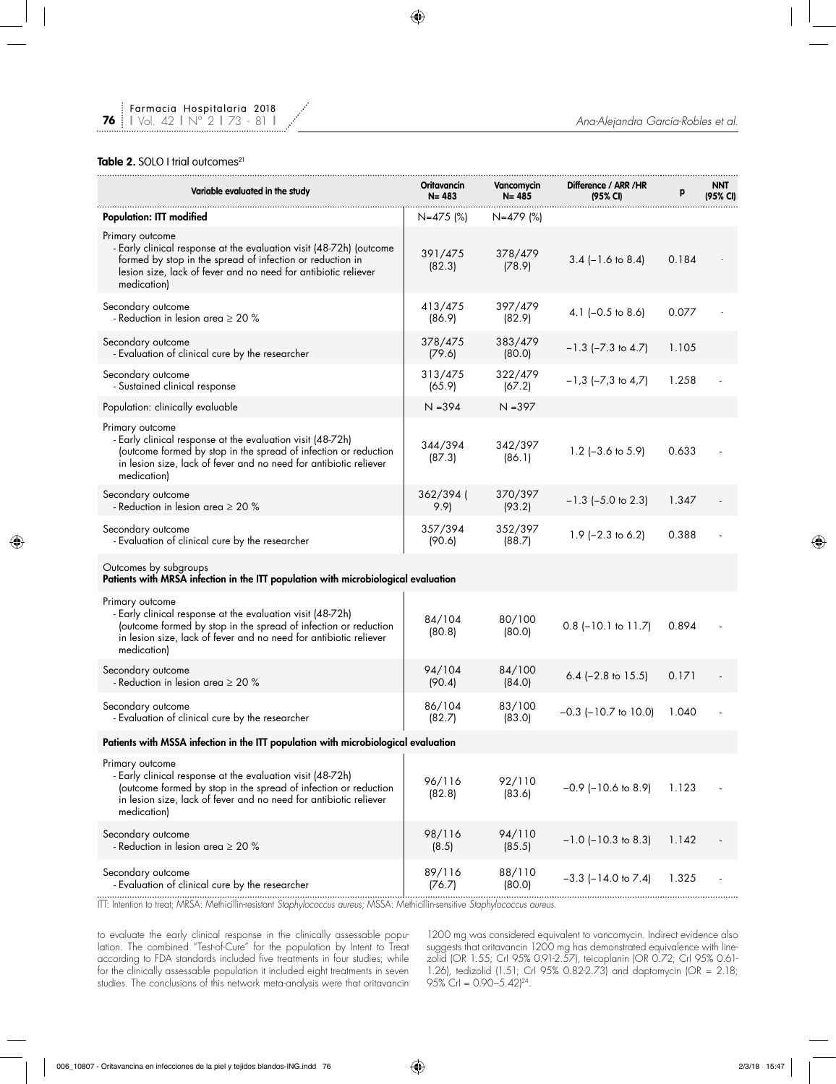## Table 2. SOLO I trial outcomes<sup>21</sup>

**76**

| Variable evaluated in the study                                                                                                                                                                                                      | <b>Oritavancin</b><br>$N = 483$ | Vancomycin<br>$N = 485$ | Difference / ARR / HR<br>(95% CI) | р     | <b>NNT</b><br>(95% CI) |
|--------------------------------------------------------------------------------------------------------------------------------------------------------------------------------------------------------------------------------------|---------------------------------|-------------------------|-----------------------------------|-------|------------------------|
| <b>Population: ITT modified</b>                                                                                                                                                                                                      | N=475 (%)                       | N=479 (%)               |                                   |       |                        |
| Primary outcome<br>- Early clinical response at the evaluation visit (48-72h) (outcome<br>formed by stop in the spread of infection or reduction in<br>lesion size, lack of fever and no need for antibiotic reliever<br>medication) | 391/475<br>(82.3)               | 378/479<br>(78.9)       | $3.4$ (-1.6 to 8.4)               | 0.184 |                        |
| Secondary outcome<br>- Reduction in lesion area $\geq 20$ %                                                                                                                                                                          | 413/475<br>(86.9)               | 397/479<br>(82.9)       | 4.1 $(-0.5$ to 8.6)               | 0.077 |                        |
| Secondary outcome<br>- Evaluation of clinical cure by the researcher                                                                                                                                                                 | 378/475<br>(79.6)               | 383/479<br>(80.0)       | $-1.3$ ( $-7.3$ to 4.7)           | 1.105 |                        |
| Secondary outcome<br>- Sustained clinical response                                                                                                                                                                                   | 313/475<br>(65.9)               | 322/479<br>(67.2)       | $-1.3$ ( $-7.3$ to 4.7)           | 1.258 |                        |
| Population: clinically evaluable                                                                                                                                                                                                     | $N = 394$                       | $N = 397$               |                                   |       |                        |
| Primary outcome<br>- Early clinical response at the evaluation visit (48-72h)<br>(outcome formed by stop in the spread of infection or reduction<br>in lesion size, lack of fever and no need for antibiotic reliever<br>medication) | 344/394<br>(87.3)               | 342/397<br>(86.1)       | $1.2$ (-3.6 to 5.9)               | 0.633 |                        |
| Secondary outcome<br>- Reduction in lesion area $\geq 20$ %                                                                                                                                                                          | 362/394 (<br>9.9                | 370/397<br>(93.2)       | $-1.3$ ( $-5.0$ to 2.3)           | 1.347 |                        |
| Secondary outcome<br>- Evaluation of clinical cure by the researcher                                                                                                                                                                 | 357/394<br>(90.6)               | 352/397<br>(88.7)       | $1.9$ (-2.3 to 6.2)               | 0.388 |                        |
| Outcomes by subgroups<br>Patients with MRSA infection in the ITT population with microbiological evaluation                                                                                                                          |                                 |                         |                                   |       |                        |
| Primary outcome<br>- Early clinical response at the evaluation visit (48-72h)<br>(outcome formed by stop in the spread of infection or reduction<br>in lesion size, lack of fever and no need for antibiotic reliever<br>medication) | 84/104<br>(80.8)                | 80/100<br>(80.0)        | $0.8$ (-10.1 to 11.7)             | 0.894 |                        |
| Secondary outcome<br>- Reduction in lesion area $\geq 20$ %                                                                                                                                                                          | 94/104<br>(90.4)                | 84/100<br>(84.0)        | 6.4 $(-2.8 \text{ to } 15.5)$     | 0.171 |                        |
| Secondary outcome<br>- Evaluation of clinical cure by the researcher                                                                                                                                                                 | 86/104<br>(82.7)                | 83/100<br>(83.0)        | $-0.3$ ( $-10.7$ to 10.0)         | 1.040 |                        |
| Patients with MSSA infection in the ITT population with microbiological evaluation                                                                                                                                                   |                                 |                         |                                   |       |                        |
| Primary outcome<br>- Early clinical response at the evaluation visit (48-72h)<br>(outcome formed by stop in the spread of infection or reduction<br>in lesion size, lack of fever and no need for antibiotic reliever<br>medication) | 96/116<br>(82.8)                | 92/110<br>(83.6)        | $-0.9$ ( $-10.6$ to 8.9)          | 1.123 |                        |
| Secondary outcome<br>- Reduction in lesion area $\geq 20$ %                                                                                                                                                                          | 98/116<br>(8.5)                 | 94/110<br>(85.5)        | $-1.0$ ( $-10.3$ to 8.3)          | 1.142 |                        |
| Secondary outcome<br>- Evaluation of clinical cure by the researcher                                                                                                                                                                 | 89/116<br>(76.7)                | 88/110<br>(80.0)        | $-3.3$ ( $-14.0$ to $7.4$ )       | 1.325 |                        |
|                                                                                                                                                                                                                                      |                                 |                         |                                   |       |                        |

ITT: Intention to treat; MRSA: Methicillin-resistant *Staphylococcus aureus;* MSSA: Methicillin-sensitive *Staphylococcus aureus.*

to evaluate the early clinical response in the clinically assessable population. The combined "Test-of-Cure" for the population by Intent to Treat according to FDA standards included five treatments in four studies; while for the clinically assessable population it included eight treatments in seven studies. The conclusions of this network meta-analysis were that oritavancin

1200 mg was considered equivalent to vancomycin. Indirect evidence also suggests that oritavancin 1200 mg has demonstrated equivalence with linezolid (OR 1.55; CrI 95% 0.91-2.57), teicoplanin (OR 0.72; CrI 95% 0.61- 1.26), tedizolid (1.51; CrI 95% 0.82-2.73) and daptomycin (OR = 2.18; 95% CrI = 0.90–5.42)24.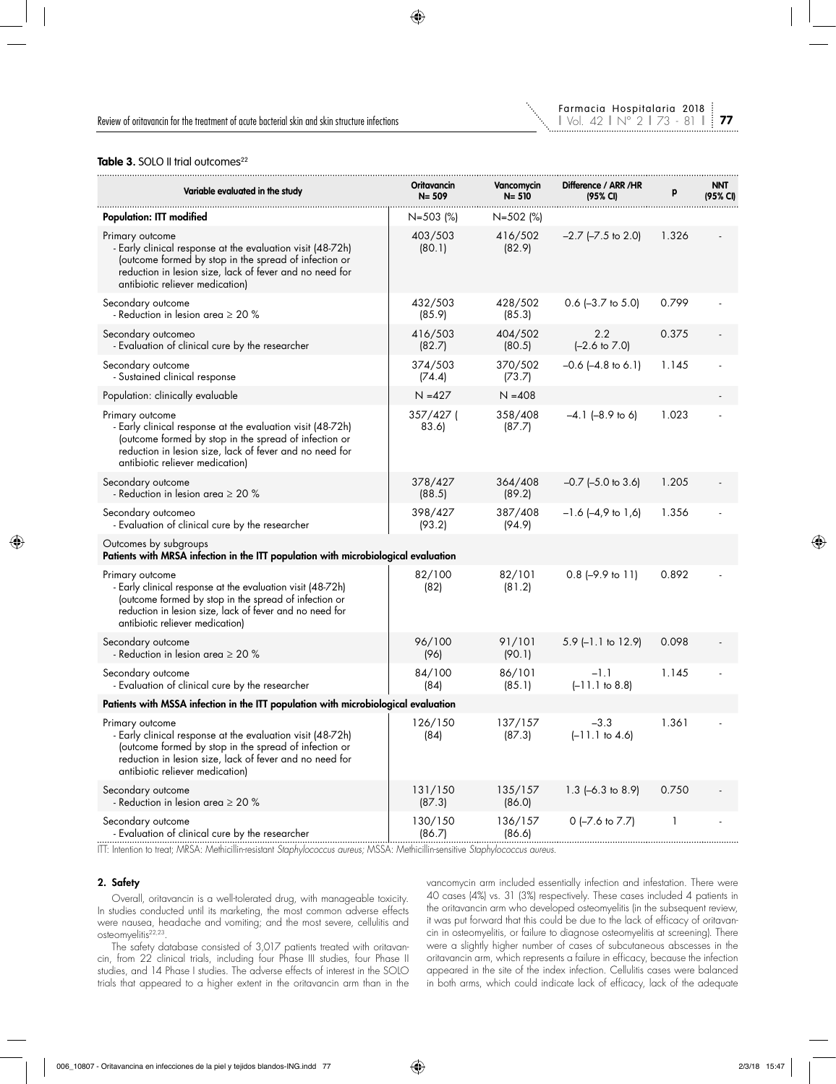

## Table 3. SOLO II trial outcomes<sup>22</sup>

| Variable evaluated in the study                                                                                                                                                                                                      | Oritavancin<br>$N = 509$ | Vancomycin<br>N= 510 | Difference / ARR /HR<br>(95% CI) | p     | <b>NNT</b><br>(95% CI) |
|--------------------------------------------------------------------------------------------------------------------------------------------------------------------------------------------------------------------------------------|--------------------------|----------------------|----------------------------------|-------|------------------------|
| <b>Population: ITT modified</b>                                                                                                                                                                                                      | $N = 503$ (%)            | N=502 (%)            |                                  |       |                        |
| Primary outcome<br>- Early clinical response at the evaluation visit (48-72h)<br>(outcome formed by stop in the spread of infection or<br>reduction in lesion size, lack of fever and no need for<br>antibiotic reliever medication) | 403/503<br>(80.1)        | 416/502<br>(82.9)    | $-2.7$ ( $-7.5$ to 2.0)          | 1.326 |                        |
| Secondary outcome<br>- Reduction in lesion area $\geq 20\%$                                                                                                                                                                          | 432/503<br>(85.9)        | 428/502<br>(85.3)    | $0.6$ (-3.7 to 5.0)              | 0.799 |                        |
| Secondary outcomeo<br>- Evaluation of clinical cure by the researcher                                                                                                                                                                | 416/503<br>(82.7)        | 404/502<br>(80.5)    | 2.2<br>$[-2.6 \text{ to } 7.0]$  | 0.375 |                        |
| Secondary outcome<br>- Sustained clinical response                                                                                                                                                                                   | 374/503<br>(74.4)        | 370/502<br>(73.7)    | $-0.6$ $(-4.8$ to 6.1)           | 1.145 |                        |
| Population: clinically evaluable                                                                                                                                                                                                     | $N = 427$                | $N = 408$            |                                  |       |                        |
| Primary outcome<br>- Early clinical response at the evaluation visit (48-72h)<br>(outcome formed by stop in the spread of infection or<br>reduction in lesion size, lack of fever and no need for<br>antibiotic reliever medication) | 357/427 (<br>83.6)       | 358/408<br>(87.7)    | $-4.1$ $(-8.9$ to 6)             | 1.023 |                        |
| Secondary outcome<br>- Reduction in lesion area $\geq 20$ %                                                                                                                                                                          | 378/427<br>(88.5)        | 364/408<br>(89.2)    | $-0.7$ ( $-5.0$ to 3.6)          | 1.205 |                        |
| Secondary outcomeo<br>- Evaluation of clinical cure by the researcher                                                                                                                                                                | 398/427<br>(93.2)        | 387/408<br>(94.9)    | $-1.6$ $(-4.9$ to $1.6)$         | 1.356 |                        |
| Outcomes by subgroups<br>Patients with MRSA infection in the ITT population with microbiological evaluation                                                                                                                          |                          |                      |                                  |       |                        |
| Primary outcome<br>- Early clinical response at the evaluation visit (48-72h)<br>(outcome formed by stop in the spread of infection or<br>reduction in lesion size, lack of fever and no need for<br>antibiotic reliever medication) | 82/100<br>(82)           | 82/101<br>(81.2)     | $0.8$ (-9.9 to 11)               | 0.892 |                        |
| Secondary outcome<br>- Reduction in lesion area $\geq 20$ %                                                                                                                                                                          | 96/100<br>(96)           | 91/101<br>(90.1)     | 5.9 (-1.1 to 12.9)               | 0.098 |                        |
| Secondary outcome<br>- Evaluation of clinical cure by the researcher                                                                                                                                                                 | 84/100<br>(84)           | 86/101<br>(85.1)     | $-1.1$<br>$(-11.1$ to 8.8)       | 1.145 |                        |
| Patients with MSSA infection in the ITT population with microbiological evaluation                                                                                                                                                   |                          |                      |                                  |       |                        |
| Primary outcome<br>- Early clinical response at the evaluation visit (48-72h)<br>(outcome formed by stop in the spread of infection or<br>reduction in lesion size, lack of fever and no need for<br>antibiotic reliever medication) | 126/150<br>(84)          | 137/157<br>(87.3)    | $-3.3$<br>$(-11.1$ to 4.6)       | 1.361 |                        |
| Secondary outcome<br>- Reduction in lesion area $\geq 20$ %                                                                                                                                                                          | 131/150<br>(87.3)        | 135/157<br>(86.0)    | $1.3$ (-6.3 to 8.9)              | 0.750 |                        |
| Secondary outcome<br>- Evaluation of clinical cure by the researcher                                                                                                                                                                 | 130/150<br>(86.7)        | 136/157<br>(86.6)    | $0$ (-7.6 to 7.7)                | 1     |                        |

ITT: Intention to treat; MRSA: Methicillin-resistant *Staphylococcus aureus;* MSSA: Methicillin-sensitive *Staphylococcus aureus.*

### 2. Safety

Overall, oritavancin is a well-tolerated drug, with manageable toxicity. In studies conducted until its marketing, the most common adverse effects were nausea, headache and vomiting; and the most severe, cellulitis and osteomyelitis<sup>22,23</sup>.

The safety database consisted of 3,017 patients treated with oritavancin, from 22 clinical trials, including four Phase III studies, four Phase II studies, and 14 Phase I studies. The adverse effects of interest in the SOLO trials that appeared to a higher extent in the oritavancin arm than in the vancomycin arm included essentially infection and infestation. There were 40 cases (4%) vs. 31 (3%) respectively. These cases included 4 patients in the oritavancin arm who developed osteomyelitis (in the subsequent review, it was put forward that this could be due to the lack of efficacy of oritavancin in osteomyelitis, or failure to diagnose osteomyelitis at screening). There were a slightly higher number of cases of subcutaneous abscesses in the oritavancin arm, which represents a failure in efficacy, because the infection appeared in the site of the index infection. Cellulitis cases were balanced in both arms, which could indicate lack of efficacy, lack of the adequate

**77**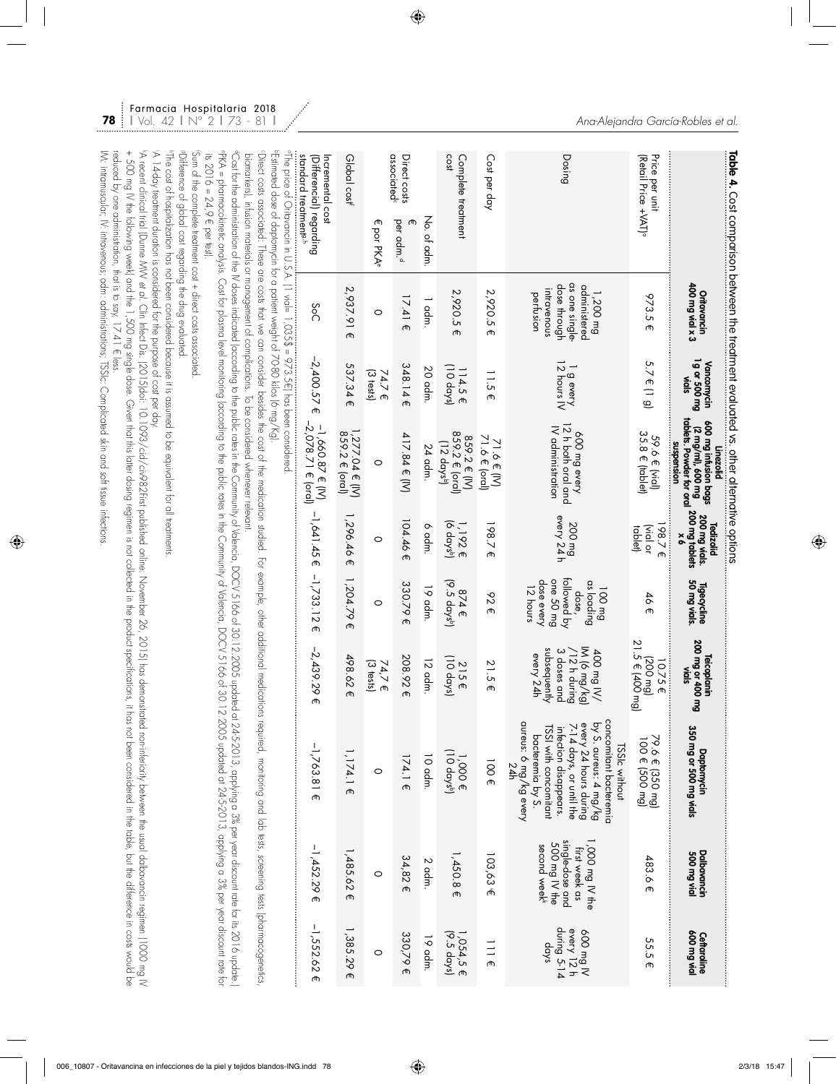|                                                                                   |                           |                                                                                                                                                                                                        |                                                                           | Table 4. Cost comparison between the treatment evaluated vs. other alternative options                                                                                                                                                     |                                                                                                     |                                                                                     |                                                                                       |                                                                                                                                                                                                                                                                                                                                                                                                                                                                                                                               |                                                                                                 |                                               |
|-----------------------------------------------------------------------------------|---------------------------|--------------------------------------------------------------------------------------------------------------------------------------------------------------------------------------------------------|---------------------------------------------------------------------------|--------------------------------------------------------------------------------------------------------------------------------------------------------------------------------------------------------------------------------------------|-----------------------------------------------------------------------------------------------------|-------------------------------------------------------------------------------------|---------------------------------------------------------------------------------------|-------------------------------------------------------------------------------------------------------------------------------------------------------------------------------------------------------------------------------------------------------------------------------------------------------------------------------------------------------------------------------------------------------------------------------------------------------------------------------------------------------------------------------|-------------------------------------------------------------------------------------------------|-----------------------------------------------|
|                                                                                   |                           | Oritavancin<br>400 mg vial x 3                                                                                                                                                                         | 1g or 500 mg<br>Vancomycin<br>vials                                       | tablets. Powder for ora<br>600 mg infusion bags<br>(2 mg/ml), 600 mg<br>suspension<br>Linezolid                                                                                                                                            | 200 mg vials.<br><sub>I</sub> 200 mg table <del>l</del> s<br><b>Tedizolid</b><br>$\frac{1}{\alpha}$ | Tigecycline<br>50 mg vials.                                                         | 200 mg or 400 mg<br>vials<br><b>Teicoplanin</b>                                       | Daptomycin<br>350 mg or 500 mg vials                                                                                                                                                                                                                                                                                                                                                                                                                                                                                          | Dalbavancin<br>500 mg vial                                                                      | low pm 006<br>Ceftaroline                     |
| Price per unit<br>(Retail Price +VAT) <sup>o</sup>                                |                           | 973.5 €                                                                                                                                                                                                | $5.7 \in (19)$                                                            | 35.8 € (tablet)<br>59.6 € (vial)                                                                                                                                                                                                           | $198.7 \in$<br>vial or<br>tablet)                                                                   | 46€                                                                                 | 21.5 € (400 mg)<br>$(500 \text{ mol})$<br>10.75€                                      | 79.6 € (350 mg)<br>100 € (500 mg)                                                                                                                                                                                                                                                                                                                                                                                                                                                                                             | 483.6 €                                                                                         | 55.5 €                                        |
| Dosing                                                                            |                           | as one single-<br>dose through<br>administered<br>intravenous<br>1,200 mg<br>pertusion                                                                                                                 | $\begin{array}{c}\n1 \text{ g every} \\ 12 \text{ hours IV}\n\end{array}$ | 12 h both oral and<br>IV administration<br>QOO mg every                                                                                                                                                                                    | 200 mg<br>every 24 h                                                                                | followed by<br>dose every<br>one 50 mg<br>as loading<br>12 hours<br>100 mg<br>dose, | subsequently<br>IM (6 mg/kg)<br>3 doses and<br>/12 h during<br>/N Bw OOP<br>every 24h | concomitant bacteremia<br>aureus: 6 mg/kg every<br>by S. aureus: 4 mg/kg<br>every 24 hours during<br>7-14 days, or until the<br>TSSI with concomitant<br>intection disappears.<br>bacteremia by S.<br><b>ISSIc without</b><br>24h                                                                                                                                                                                                                                                                                             | single-dose and<br>,000 mg IV the<br>500 mg IV the<br>second week <sup>k</sup><br>first week as | during 5-14<br>every 12 h<br>N pm 009<br>dqys |
| Cost per day                                                                      |                           | 2,920.5€                                                                                                                                                                                               | $\frac{11.5}{2}$<br>መ                                                     | 71.6 $\in$ (IV)<br>71.6 $\in$ (oral)                                                                                                                                                                                                       | 198.7€                                                                                              | 626                                                                                 | 21.5E                                                                                 | $100 \text{ f}$                                                                                                                                                                                                                                                                                                                                                                                                                                                                                                               | 103,63 E                                                                                        | 111                                           |
| cost<br>Complete treatment                                                        |                           | 2,920.5 €                                                                                                                                                                                              | 114.5 €<br>(10 days)                                                      | 859.2 € (oral)<br>859.2 € (IV)<br>$(12$ days <sup>b</sup> )                                                                                                                                                                                | 1, 192 €<br>(6 days <sup>b</sup> )                                                                  | 874 €<br>(9.5 days <sup>b</sup> )                                                   | 215 €<br>(10 days)                                                                    | $\begin{array}{c} 1,000 \in \\ 10 \text{ days} \end{array}$                                                                                                                                                                                                                                                                                                                                                                                                                                                                   | $1,450.8 \in$                                                                                   | 1,054,5 €<br>(9.5 days)                       |
|                                                                                   | No. of adm                | 1 adm.                                                                                                                                                                                                 | 20 adm.                                                                   | 24 adm.                                                                                                                                                                                                                                    | d adm                                                                                               | 19 adm.                                                                             | 12 adm                                                                                | 10 adm.                                                                                                                                                                                                                                                                                                                                                                                                                                                                                                                       | $2$ adm.                                                                                        | 19 adm.                                       |
| associated <sup>c</sup><br>Direct costs                                           | per adm. <sup>d</sup>     | $17.41 \epsilon$                                                                                                                                                                                       | 348.14E                                                                   | 417.84 € (IV)                                                                                                                                                                                                                              | 04.46<br>Œ,                                                                                         | 330.79€                                                                             | 208.92€                                                                               | 174.1 €                                                                                                                                                                                                                                                                                                                                                                                                                                                                                                                       | 34,82€                                                                                          | 330,79 €                                      |
|                                                                                   | ጦ<br>por PKA <sup>e</sup> | $\circ$                                                                                                                                                                                                | $(3$ tests)<br>74.7 E                                                     | $\circ$                                                                                                                                                                                                                                    | 0                                                                                                   | 0                                                                                   | $(3$ tests)<br>74,7 €                                                                 | $\circ$                                                                                                                                                                                                                                                                                                                                                                                                                                                                                                                       | $\circ$                                                                                         | $\circ$                                       |
| Global cost <sup>i</sup>                                                          |                           | 2,937.91€                                                                                                                                                                                              | 537.34 €                                                                  | $1,277.04 \in [N]$<br>859.2 € (oral)                                                                                                                                                                                                       | $1,296.46 \in$                                                                                      | 1,204.79 €                                                                          | 498.62€                                                                               | $1,174.1 \in$                                                                                                                                                                                                                                                                                                                                                                                                                                                                                                                 | $1,485.62 \in$                                                                                  | 1,385.29€                                     |
| standard freatment <sup>s,h</sup><br>Incremental cost<br>(Differencial) regarding |                           | SoC                                                                                                                                                                                                    | $-2,400.57 \in$                                                           | –1,660.87 € (IV)<br>–2,078.71 € (oral)                                                                                                                                                                                                     | $-1,641.45 \in$                                                                                     | $-1,733.12$ €                                                                       | $-2,439.29$ €                                                                         | $-1,763.81 \in$                                                                                                                                                                                                                                                                                                                                                                                                                                                                                                               | $-1,452.29$ €                                                                                   | $-1,552.62 \in$                               |
| its $2016 = 24, 9 \in$ per test).                                                 |                           | ™Estimated dose of daptomycin for a patient weight of 7080 kilos (6 mg/Kgl.                                                                                                                            |                                                                           | °FXA = pharmacokinetic analysis. Cost for plasma level monitoring to the public rates in the Community of Vdencia, DOCV 5166 of 30.<br>biomarkers), infusion materials or management of complications. To be considered whenever relevant. |                                                                                                     |                                                                                     |                                                                                       | <sup>a</sup> Cost for the administration of the M docading to the public rates in the Community of Valencia, DOCV 51666130.12.2005 updated at 245-2013, applying a 3% per year discount rate for its 2016 update.<br>CDirect costs associated. These are costs that we can consider besides the cost of the medications that additional medications for example, other additional medications required, monitoring and lab tests, screening tests (<br>12.2005 updated at 24-5-2013, applying a 3% per year discount rate for |                                                                                                 |                                               |
|                                                                                   |                           | sDifference of global cost regarding the drug evaluated.<br>A 14-day treatment duration is considered for the purpose of cost per day.<br>Sum of the complete treatment cost + direct costs associated |                                                                           | "The cost of hospitalization has not been considered because it is assumed to be equivalent for all treatments                                                                                                                             |                                                                                                     |                                                                                     |                                                                                       | ν Recent Clirical Hich (Ourne MW e. α). Ωι Ji Hect Dis. 120.1916:1. 10.1079827:13 φυσίας αναθπος Οριμίος Ζονεησες 26, 2015) Fas demonstrated non-inferiority σενερες του 2019) Fas demonstrated non-inferiority σεννεια το u                                                                                                                                                                                                                                                                                                  |                                                                                                 |                                               |

Farmacia Hospitalaria 2018

**78**

IM: intramuscular; IV: intravenous; adm: administrations; TSSIc: Complicated skin and soft tissue infections.

I/V. intranuscular, IV: intravenous, odm: administrations, TSSIc. Complicated skin and soft tissue infections.

+ 500 mg V fre following week, and fre 1,500 mg single dose. Given frat down frat dosing regimen is not collected in the product specifications, it has not collected in the product specifications, it has not been considere

reduced by one administration, that is to say, 17.41 € less.

reduced by one administration, that is to say, 17.41 € less.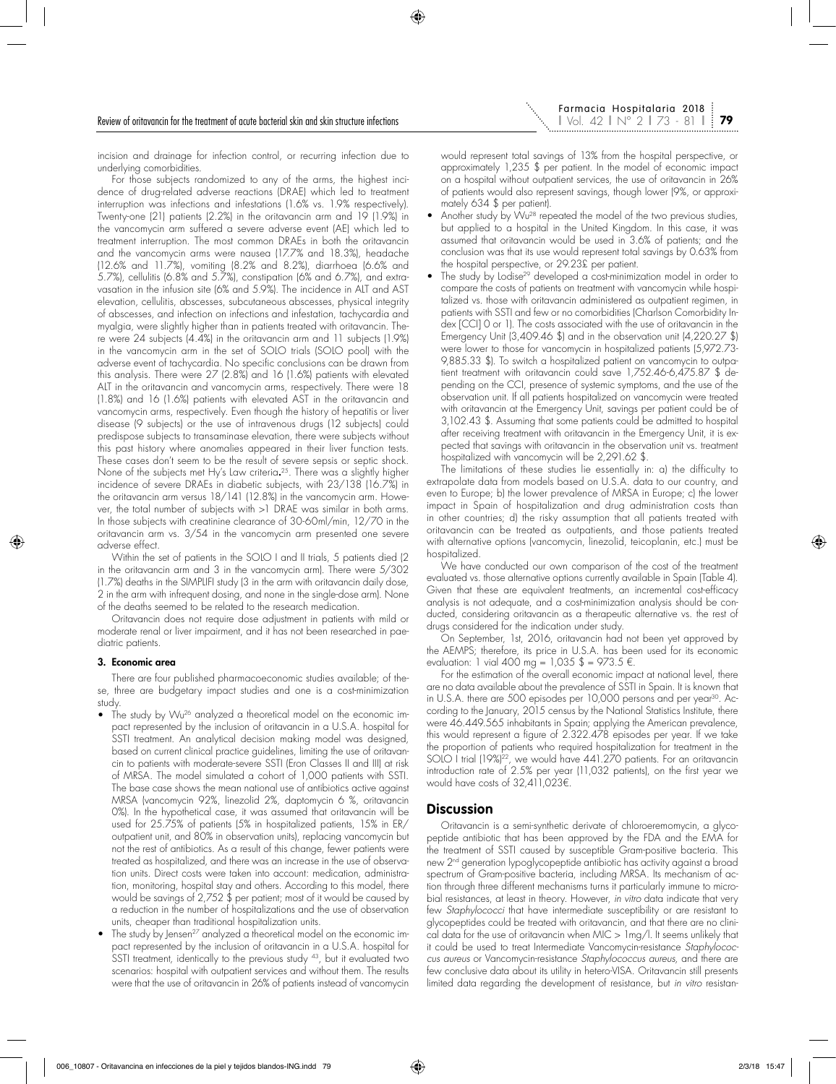incision and drainage for infection control, or recurring infection due to underlying comorbidities.

For those subjects randomized to any of the arms, the highest incidence of drug-related adverse reactions (DRAE) which led to treatment interruption was infections and infestations (1.6% vs. 1.9% respectively). Twenty-one (21) patients (2.2%) in the oritavancin arm and 19 (1.9%) in the vancomycin arm suffered a severe adverse event (AE) which led to treatment interruption. The most common DRAEs in both the oritavancin and the vancomycin arms were nausea (17.7% and 18.3%), headache (12.6% and 11.7%), vomiting (8.2% and 8.2%), diarrhoea (6.6% and 5.7%), cellulitis (6.8% and 5.7%), constipation (6% and 6.7%), and extravasation in the infusion site (6% and 5.9%). The incidence in ALT and AST elevation, cellulitis, abscesses, subcutaneous abscesses, physical integrity of abscesses, and infection on infections and infestation, tachycardia and myalgia, were slightly higher than in patients treated with oritavancin. There were 24 subjects (4.4%) in the oritavancin arm and 11 subjects (1.9%) in the vancomycin arm in the set of SOLO trials (SOLO pool) with the adverse event of tachycardia. No specific conclusions can be drawn from this analysis. There were 27 (2.8%) and 16 (1.6%) patients with elevated ALT in the oritavancin and vancomycin arms, respectively. There were 18 (1.8%) and 16 (1.6%) patients with elevated AST in the oritavancin and vancomycin arms, respectively. Even though the history of hepatitis or liver disease (9 subjects) or the use of intravenous drugs (12 subjects) could predispose subjects to transaminase elevation, there were subjects without this past history where anomalies appeared in their liver function tests. These cases don't seem to be the result of severe sepsis or septic shock. None of the subjects met Hy's Law criteria. 25. There was a slightly higher incidence of severe DRAEs in diabetic subjects, with 23/138 (16.7%) in the oritavancin arm versus 18/141 (12.8%) in the vancomycin arm. However, the total number of subjects with >1 DRAE was similar in both arms. In those subjects with creatinine clearance of 30-60ml/min, 12/70 in the oritavancin arm vs. 3/54 in the vancomycin arm presented one severe adverse effect.

Within the set of patients in the SOLO I and II trials, 5 patients died (2) in the oritavancin arm and 3 in the vancomycin arm). There were 5/302 (1.7%) deaths in the SIMPLIFI study (3 in the arm with oritavancin daily dose, 2 in the arm with infrequent dosing, and none in the single-dose arm). None of the deaths seemed to be related to the research medication.

Oritavancin does not require dose adjustment in patients with mild or moderate renal or liver impairment, and it has not been researched in paediatric patients.

#### 3. Economic area

There are four published pharmacoeconomic studies available; of these, three are budgetary impact studies and one is a cost-minimization study.

- The study by Wu<sup>26</sup> analyzed a theoretical model on the economic impact represented by the inclusion of oritavancin in a U.S.A. hospital for SSTI treatment. An analytical decision making model was designed, based on current clinical practice guidelines, limiting the use of oritavancin to patients with moderate-severe SSTI (Eron Classes II and III) at risk of MRSA. The model simulated a cohort of 1,000 patients with SSTI. The base case shows the mean national use of antibiotics active against MRSA (vancomycin 92%, linezolid 2%, daptomycin 6 %, oritavancin 0%). In the hypothetical case, it was assumed that oritavancin will be used for 25.75% of patients (5% in hospitalized patients, 15% in ER/ outpatient unit, and 80% in observation units), replacing vancomycin but not the rest of antibiotics. As a result of this change, fewer patients were treated as hospitalized, and there was an increase in the use of observation units. Direct costs were taken into account: medication, administration, monitoring, hospital stay and others. According to this model, there would be savings of 2,752 \$ per patient; most of it would be caused by a reduction in the number of hospitalizations and the use of observation units, cheaper than traditional hospitalization units.
- The study by Jensen<sup>27</sup> analyzed a theoretical model on the economic impact represented by the inclusion of oritavancin in a U.S.A. hospital for SSTI treatment, identically to the previous study <sup>43</sup>, but it evaluated two scenarios: hospital with outpatient services and without them. The results were that the use of oritavancin in 26% of patients instead of vancomycin

would represent total savings of 13% from the hospital perspective, or approximately 1,235 \$ per patient. In the model of economic impact on a hospital without outpatient services, the use of oritavancin in 26% of patients would also represent savings, though lower (9%, or approximately 634 \$ per patient).

- Another study by Wu<sup>28</sup> repeated the model of the two previous studies, but applied to a hospital in the United Kingdom. In this case, it was assumed that oritavancin would be used in 3.6% of patients; and the conclusion was that its use would represent total savings by 0.63% from the hospital perspective, or 29.23£ per patient.
- The study by Lodise<sup>29</sup> developed a cost-minimization model in order to compare the costs of patients on treatment with vancomycin while hospitalized vs. those with oritavancin administered as outpatient regimen, in patients with SSTI and few or no comorbidities (Charlson Comorbidity Index [CCI] 0 or 1). The costs associated with the use of oritavancin in the Emergency Unit (3,409.46 \$) and in the observation unit (4,220.27 \$) were lower to those for vancomycin in hospitalized patients (5,972.73- 9,885.33 \$). To switch a hospitalized patient on vancomycin to outpatient treatment with oritavancin could save 1,752.46-6,475.87 \$ depending on the CCI, presence of systemic symptoms, and the use of the observation unit. If all patients hospitalized on vancomycin were treated with oritavancin at the Emergency Unit, savings per patient could be of 3,102.43 \$. Assuming that some patients could be admitted to hospital after receiving treatment with oritavancin in the Emergency Unit, it is expected that savings with oritavancin in the observation unit vs. treatment hospitalized with vancomycin will be 2,291.62 \$.

The limitations of these studies lie essentially in: a) the difficulty to extrapolate data from models based on U.S.A. data to our country, and even to Europe; b) the lower prevalence of MRSA in Europe; c) the lower impact in Spain of hospitalization and drug administration costs than in other countries; d) the risky assumption that all patients treated with oritavancin can be treated as outpatients, and those patients treated with alternative options (vancomycin, linezolid, teicoplanin, etc.) must be hospitalized.

We have conducted our own comparison of the cost of the treatment evaluated vs. those alternative options currently available in Spain (Table 4). Given that these are equivalent treatments, an incremental cost-efficacy analysis is not adequate, and a cost-minimization analysis should be conducted, considering oritavancin as a therapeutic alternative vs. the rest of drugs considered for the indication under study.

On September, 1st, 2016, oritavancin had not been yet approved by the AEMPS; therefore, its price in U.S.A. has been used for its economic evaluation: 1 vial 400 mg = 1,035 \$ = 973.5 €.

For the estimation of the overall economic impact at national level, there are no data available about the prevalence of SSTI in Spain. It is known that in U.S.A. there are 500 episodes per 10,000 persons and per year<sup>30</sup>. According to the January, 2015 census by the National Statistics Institute, there were 46.449.565 inhabitants in Spain; applying the American prevalence, this would represent a figure of 2.322.478 episodes per year. If we take the proportion of patients who required hospitalization for treatment in the SOLO I trial (19%)<sup>22</sup>, we would have 441.270 patients. For an oritavancin introduction rate of 2.5% per year (11,032 patients), on the first year we would have costs of 32,411,023€.

# **Discussion**

Oritavancin is a semi-synthetic derivate of chloroeremomycin, a glycopeptide antibiotic that has been approved by the FDA and the EMA for the treatment of SSTI caused by susceptible Gram-positive bacteria. This new 2nd generation lypoglycopeptide antibiotic has activity against a broad spectrum of Gram-positive bacteria, including MRSA. Its mechanism of action through three different mechanisms turns it particularly immune to microbial resistances, at least in theory. However, *in vitro* data indicate that very few *Staphylococci* that have intermediate susceptibility or are resistant to glycopeptides could be treated with oritavancin, and that there are no clinical data for the use of oritavancin when MIC > 1mg/l. It seems unlikely that it could be used to treat Intermediate Vancomycin-resistance *Staphylococcus aureus* or Vancomycin-resistance *Staphylococcus aureus,* and there are few conclusive data about its utility in hetero-VISA. Oritavancin still presents limited data regarding the development of resistance, but *in vitro* resistan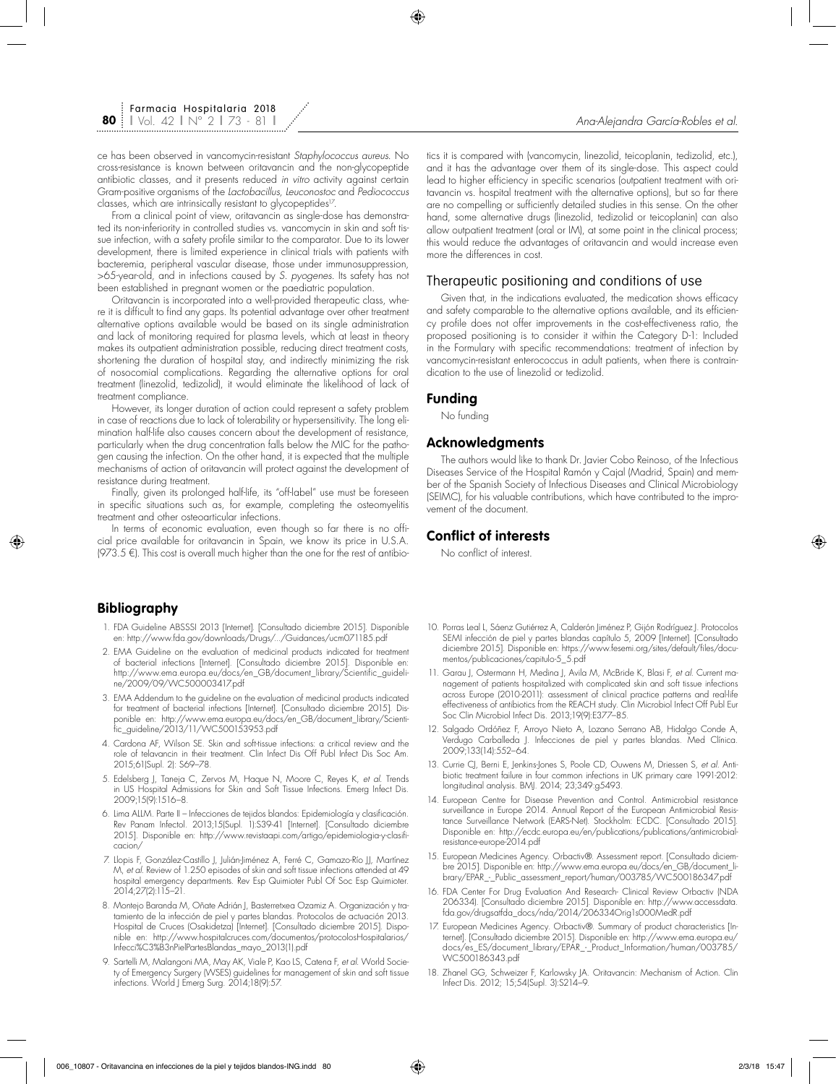ce has been observed in vancomycin-resistant *Staphylococcus aureus*. No cross-resistance is known between oritavancin and the non-glycopeptide antibiotic classes, and it presents reduced *in vitro* activity against certain Gram-positive organisms of the *Lactobacillus, Leuconostoc* and *Pediococcus* classes, which are intrinsically resistant to glycopeptides<sup>17</sup>.

From a clinical point of view, oritavancin as single-dose has demonstrated its non-inferiority in controlled studies vs. vancomycin in skin and soft tissue infection, with a safety profile similar to the comparator. Due to its lower development, there is limited experience in clinical trials with patients with bacteremia, peripheral vascular disease, those under immunosuppression, >65-year-old, and in infections caused by *S. pyogenes*. Its safety has not been established in pregnant women or the paediatric population.

Oritavancin is incorporated into a well-provided therapeutic class, where it is difficult to find any gaps. Its potential advantage over other treatment alternative options available would be based on its single administration and lack of monitoring required for plasma levels, which at least in theory makes its outpatient administration possible, reducing direct treatment costs, shortening the duration of hospital stay, and indirectly minimizing the risk of nosocomial complications. Regarding the alternative options for oral treatment (linezolid, tedizolid), it would eliminate the likelihood of lack of treatment compliance.

However, its longer duration of action could represent a safety problem in case of reactions due to lack of tolerability or hypersensitivity. The long elimination half-life also causes concern about the development of resistance, particularly when the drug concentration falls below the MIC for the pathogen causing the infection. On the other hand, it is expected that the multiple mechanisms of action of oritavancin will protect against the development of resistance during treatment.

Finally, given its prolonged half-life, its "off-label" use must be foreseen in specific situations such as, for example, completing the osteomyelitis treatment and other osteoarticular infections.

In terms of economic evaluation, even though so far there is no official price available for oritavancin in Spain, we know its price in U.S.A. (973.5 €). This cost is overall much higher than the one for the rest of antibio-

# **Bibliography**

- 1. FDA Guideline ABSSSI 2013 [Internet]. [Consultado diciembre 2015]. Disponible en: http://www.fda.gov/downloads/Drugs/.../Guidances/ucm071185.pdf
- 2. EMA Guideline on the evaluation of medicinal products indicated for treatment of bacterial infections [Internet]. [Consultado diciembre 2015]. Disponible en: http://www.ema.europa.eu/docs/en\_GB/document\_library/Scientific\_guideline/2009/09/WC500003417.pdf
- 3. EMA Addendum to the guideline on the evaluation of medicinal products indicated for treatment of bacterial infections [Internet]. [Consultado diciembre 2015]. Disponible en: http://www.ema.europa.eu/docs/en\_GB/document\_library/Scientific\_guideline/2013/11/WC500153953.pdf
- 4. Cardona AF, Wilson SE. Skin and soft-tissue infections: a critical review and the role of telavancin in their treatment. Clin Infect Dis Off Publ Infect Dis Soc Am. 2015;61(Supl. 2): S69–78.
- 5. Edelsberg J, Taneja C, Zervos M, Haque N, Moore C, Reyes K, *et al.* Trends in US Hospital Admissions for Skin and Soft Tissue Infections. Emerg Infect Dis. 2009;15(9):1516–8.
- 6. Lima ALLM. Parte II Infecciones de tejidos blandos: Epidemiología y clasificación. Rev Panam Infectol. 2013;15(Supl. 1):S39-41 [Internet]. [Consultado diciembre 2015]. Disponible en: http://www.revistaapi.com/artigo/epidemiologia-y-clasificacion/
- 7. Llopis F, González-Castillo J, Julián-Jiménez A, Ferré C, Gamazo-Río JJ, Martínez M, *et al.* Review of 1.250 episodes of skin and soft tissue infections attended at 49 hospital emergency departments. Rev Esp Quimioter Publ Of Soc Esp Quimioter. 2014;27(2):115–21.
- 8. Montejo Baranda M, Oñate Adrián J, Basterretxea Ozamiz A. Organización y tratamiento de la infección de piel y partes blandas. Protocolos de actuación 2013. Hospital de Cruces (Osakidetza) [Internet]. [Consultado diciembre 2015]. Disponible en: http://www.hospitalcruces.com/documentos/protocolosHospitalarios/ Infecci%C3%B3nPielPartesBlandas\_mayo\_2013(1).pdf
- 9. Sartelli M, Malangoni MA, May AK, Viale P, Kao LS, Catena F, *et al.* World Society of Emergency Surgery (WSES) guidelines for management of skin and soft tissue infections. World J Emerg Surg. 2014;18(9):57.

tics it is compared with (vancomycin, linezolid, teicoplanin, tedizolid, etc.), and it has the advantage over them of its single-dose. This aspect could lead to higher efficiency in specific scenarios (outpatient treatment with oritavancin vs. hospital treatment with the alternative options), but so far there are no compelling or sufficiently detailed studies in this sense. On the other hand, some alternative drugs (linezolid, tedizolid or teicoplanin) can also allow outpatient treatment (oral or IM), at some point in the clinical process; this would reduce the advantages of oritavancin and would increase even more the differences in cost.

# Therapeutic positioning and conditions of use

Given that, in the indications evaluated, the medication shows efficacy and safety comparable to the alternative options available, and its efficiency profile does not offer improvements in the cost-effectiveness ratio, the proposed positioning is to consider it within the Category D-1: Included in the Formulary with specific recommendations: treatment of infection by vancomycin-resistant enterococcus in adult patients, when there is contraindication to the use of linezolid or tedizolid.

## **Funding**

No funding

### **Acknowledgments**

The authors would like to thank Dr. Javier Cobo Reinoso, of the Infectious Diseases Service of the Hospital Ramón y Cajal (Madrid, Spain) and member of the Spanish Society of Infectious Diseases and Clinical Microbiology (SEIMC), for his valuable contributions, which have contributed to the improvement of the document.

# **Conflict of interests**

No conflict of interest.

- 10. Porras Leal L, Sáenz Gutiérrez A, Calderón Jiménez P, Gijón Rodríguez J. Protocolos SEMI infección de piel y partes blandas capítulo 5, 2009 [Internet]. [Consultado diciembre 2015]. Disponible en: https://www.fesemi.org/sites/default/files/documentos/publicaciones/capitulo-5\_5.pdf
- 11. Garau J, Ostermann H, Medina J, Avila M, McBride K, Blasi F, *et al.* Current management of patients hospitalized with complicated skin and soft tissue infections across Europe (2010-2011): assessment of clinical practice patterns and real-life effectiveness of antibiotics from the REACH study. Clin Microbiol Infect Off Publ Eur Soc Clin Microbiol Infect Dis. 2013;19(9):E377–85.
- 12. Salgado Ordóñez F, Arroyo Nieto A, Lozano Serrano AB, Hidalgo Conde A, Verdugo Carballeda J. Infecciones de piel y partes blandas. Med Clínica. 2009;133(14):552–64.
- 13. Currie CJ, Berni E, Jenkins-Jones S, Poole CD, Ouwens M, Driessen S, *et al.* Antibiotic treatment failure in four common infections in UK primary care 1991-2012: longitudinal analysis. BMJ. 2014; 23;349:g5493.
- 14. European Centre for Disease Prevention and Control. Antimicrobial resistance surveillance in Europe 2014. Annual Report of the European Antimicrobial Resistance Surveillance Network (EARS-Net). Stockholm: ECDC. [Consultado 2015]. Disponible en: http://ecdc.europa.eu/en/publications/publications/antimicrobialresistance-europe-2014.pdf
- 15. European Medicines Agency. Orbactiv®. Assessment report. [Consultado diciembre 2015]. Disponible en: http://www.ema.europa.eu/docs/en\_GB/document\_library/EPAR\_-\_Public\_assessment\_report/human/003785/WC500186347.pdf
- 16. FDA Center For Drug Evaluation And Research- Clinical Review Orbactiv (NDA 206334). [Consultado diciembre 2015]. Disponible en: http://www.accessdata. fda.gov/drugsatfda\_docs/nda/2014/206334Orig1s000MedR.pdf
- 17. European Medicines Agency. Orbactiv®. Summary of product characteristics [Internet]. [Consultado diciembre 2015]. Disponible en: http://www.ema.europa.eu/ docs/es\_ES/document\_library/EPAR\_-\_Product\_Information/human/003785/ WC500186343.pdf
- 18. Zhanel GG, Schweizer F, Karlowsky JA. Oritavancin: Mechanism of Action. Clin Infect Dis. 2012; 15;54(Supl. 3):S214–9.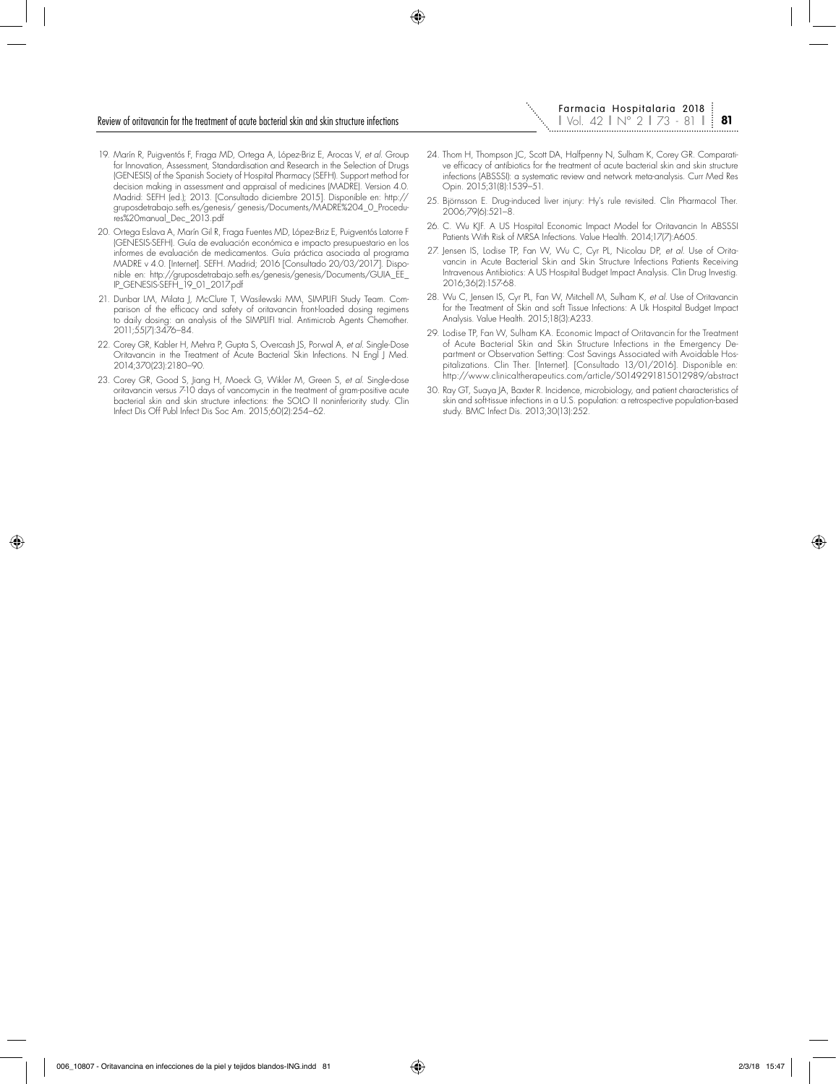#### Review of oritavancin for the treatment of acute bacterial skin and skin structure infections

- 19. Marín R, Puigventós F, Fraga MD, Ortega A, López-Briz E, Arocas V, *et al.* Group for Innovation, Assessment, Standardisation and Research in the Selection of Drugs (GENESIS) of the Spanish Society of Hospital Pharmacy (SEFH). Support method for decision making in assessment and appraisal of medicines (MADRE). Version 4.0. Madrid: SEFH (ed.); 2013. [Consultado diciembre 2015]. Disponible en: http:// gruposdetrabajo.sefh.es/genesis/ genesis/Documents/MADRE%204\_0\_Procedures%20manual\_Dec\_2013.pdf
- 20. Ortega Eslava A, Marín Gil R, Fraga Fuentes MD, López-Briz E, Puigventós Latorre F (GENESIS-SEFH). Guía de evaluación económica e impacto presupuestario en los informes de evaluación de medicamentos. Guía práctica asociada al programa MADRE v 4.0. [Internet]. SEFH. Madrid; 2016 [Consultado 20/03/2017]. Disponible en: http://gruposdetrabajo.sefh.es/genesis/genesis/Documents/GUIA\_EE\_ IP\_GENESIS-SEFH\_19\_01\_2017.pdf
- 21. Dunbar LM, Milata J, McClure T, Wasilewski MM, SIMPLIFI Study Team. Comparison of the efficacy and safety of oritavancin front-loaded dosing regimens to daily dosing: an analysis of the SIMPLIFI trial. Antimicrob Agents Chemother. 2011;55(7):3476–84.
- 22. Corey GR, Kabler H, Mehra P, Gupta S, Overcash JS, Porwal A, *et al.* Single-Dose Oritavancin in the Treatment of Acute Bacterial Skin Infections. N Engl J Med. 2014;370(23):2180–90.
- 23. Corey GR, Good S, Jiang H, Moeck G, Wikler M, Green S, *et al.* Single-dose oritavancin versus 7-10 days of vancomycin in the treatment of gram-positive acute bacterial skin and skin structure infections: the SOLO II noninferiority study. Clin Infect Dis Off Publ Infect Dis Soc Am. 2015;60(2):254–62.
- 24. Thom H, Thompson JC, Scott DA, Halfpenny N, Sulham K, Corey GR. Comparative efficacy of antibiotics for the treatment of acute bacterial skin and skin structure infections (ABSSSI): a systematic review and network meta-analysis. Curr Med Res Opin. 2015;31(8):1539–51.
- 25. Björnsson E. Drug-induced liver injury: Hy's rule revisited. Clin Pharmacol Ther. 2006;79(6):521–8.
- 26. C. Wu KJF. A US Hospital Economic Impact Model for Oritavancin In ABSSSI Patients With Risk of MRSA Infections. Value Health. 2014;17(7):A605.
- 27. Jensen IS, Lodise TP, Fan W, Wu C, Cyr PL, Nicolau DP, *et al.* Use of Oritavancin in Acute Bacterial Skin and Skin Structure Infections Patients Receiving Intravenous Antibiotics: A US Hospital Budget Impact Analysis. Clin Drug Investig. 2016;36(2):157-68.
- 28. Wu C, Jensen IS, Cyr PL, Fan W, Mitchell M, Sulham K, *et al.* Use of Oritavancin for the Treatment of Skin and soft Tissue Infections: A Uk Hospital Budget Impact Analysis. Value Health. 2015;18(3):A233.
- 29. Lodise TP, Fan W, Sulham KA. Economic Impact of Oritavancin for the Treatment of Acute Bacterial Skin and Skin Structure Infections in the Emergency Department or Observation Setting: Cost Savings Associated with Avoidable Hospitalizations. Clin Ther. [Internet]. [Consultado 13/01/2016]. Disponible en: http://www.clinicaltherapeutics.com/article/S0149291815012989/abstract
- 30. Ray GT, Suaya JA, Baxter R. Incidence, microbiology, and patient characteristics of skin and soft-tissue infections in a U.S. population: a retrospective population-based study. BMC Infect Dis. 2013;30(13):252.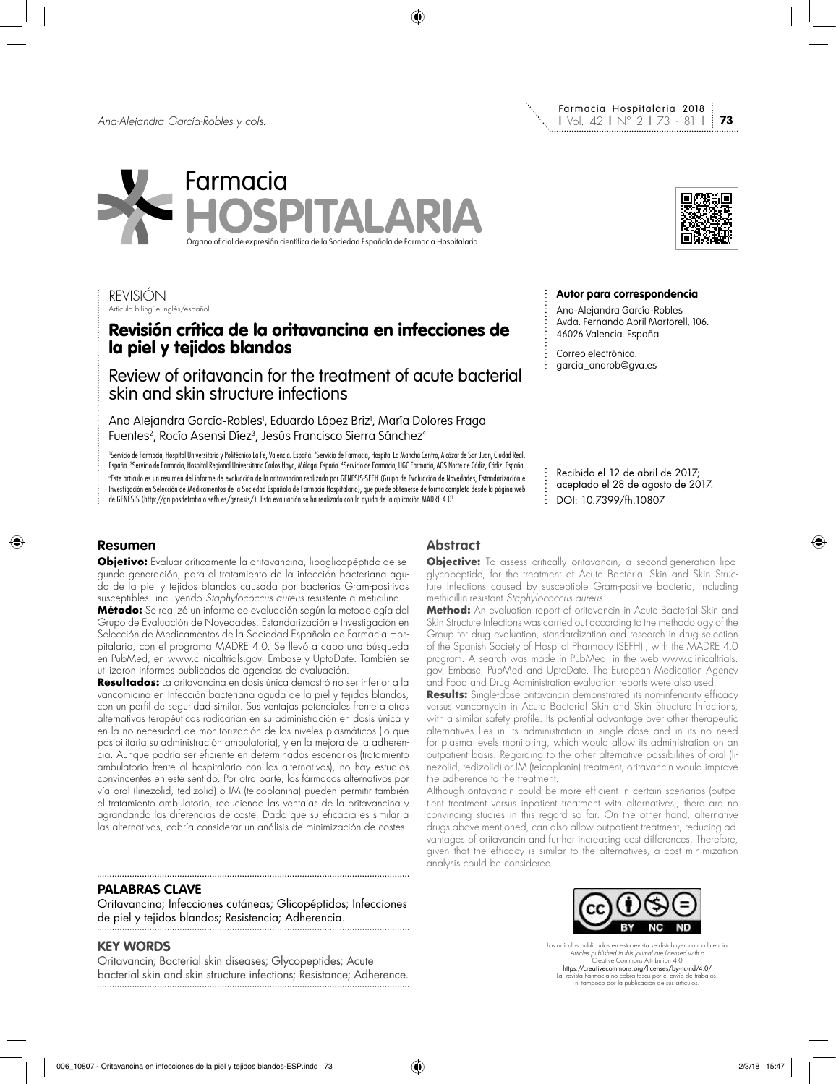



Farmacia Hospitalaria 2018

**Autor para correspondencia** Ana-Alejandra García-Robles Avda. Fernando Abril Martorell, 106.

Recibido el 12 de abril de 2017; aceptado el 28 de agosto de 2017.

DOI: 10.7399/fh.10807

46026 Valencia. España. Correo electrónico: garcia\_anarob@gva.es

## REVISIÓN Artículo bilingüe inglés/español

# Revisión crítica de la oritavancina en infecciones de la piel y tejidos blandos

Review of oritavancin for the treatment of acute bacterial skin and skin structure infections

Ana Alejandra García-Robles<sup>,</sup> Eduardo López Briz<sup>,</sup>, María Dolores Fraga Fuentes<sup>2</sup>, Rocío Asensi Díez<sup>3</sup>, Jesús Francisco Sierra Sánchez<sup>4</sup>

'Servicio de Farmacia, Hospital Universitario y Politécnico La Fe, Valencia. España. ºServicio de Farmacia, Hospital La Mancha Centro, Alcázar de San Juan, Ciudad Real. España. <sup>3</sup>Servicio de Farmacia, Hospital Regional Universitario Carlos Haya, Málaga. España. "Servicio de Farmacia, UGC Farmacia, AGS Norte de Cádiz, Cádiz. España. a Este artículo es un resumen del informe de evaluación de la oritavancina realizado por GENESIS-SEFH (Grupo de Evaluación de Novedades, Estandarización e Investigación en Selección de Medicamentos de la Sociedad Española de Farmacia Hospitalaria), que puede obtenerse de forma completa desde la página web de GENESIS (http://gruposdetrabajo.sefh.es/genesis/). Esta evaluación se ha realizado con la ayuda de la aplicación MADRE 4.01 .

# **Resumen**

**Objetivo:** Evaluar críticamente la oritavancina, lipoglicopéptido de segunda generación, para el tratamiento de la infección bacteriana aguda de la piel y tejidos blandos causada por bacterias Gram-positivas susceptibles, incluyendo *Staphylococcus aureus* resistente a meticilina.

**Método:** Se realizó un informe de evaluación según la metodología del Grupo de Evaluación de Novedades, Estandarización e Investigación en Selección de Medicamentos de la Sociedad Española de Farmacia Hospitalaria, con el programa MADRE 4.0. Se llevó a cabo una búsqueda en PubMed, en www.clinicaltrials.gov, Embase y UptoDate. También se utilizaron informes publicados de agencias de evaluación.

**Resultados:** La oritavancina en dosis única demostró no ser inferior a la vancomicina en Infección bacteriana aguda de la piel y tejidos blandos, con un perfil de seguridad similar. Sus ventajas potenciales frente a otras alternativas terapéuticas radicarían en su administración en dosis única y en la no necesidad de monitorización de los niveles plasmáticos (lo que posibilitaría su administración ambulatoria), y en la mejora de la adherencia. Aunque podría ser eficiente en determinados escenarios (tratamiento ambulatorio frente al hospitalario con las alternativas), no hay estudios convincentes en este sentido. Por otra parte, los fármacos alternativos por vía oral (linezolid, tedizolid) o IM (teicoplanina) pueden permitir también el tratamiento ambulatorio, reduciendo las ventajas de la oritavancina y agrandando las diferencias de coste. Dado que su eficacia es similar a las alternativas, cabría considerar un análisis de minimización de costes.

## **PALABRAS CLAVE**

Oritavancina; Infecciones cutáneas; Glicopéptidos; Infecciones de piel y tejidos blandos; Resistencia; Adherencia.

# **KEY WORDS**

Oritavancin; Bacterial skin diseases; Glycopeptides; Acute bacterial skin and skin structure infections; Resistance; Adherence.

# **Abstract**

**Objective:** To assess critically oritavancin, a second-generation lipoglycopeptide, for the treatment of Acute Bacterial Skin and Skin Structure Infections caused by susceptible Gram-positive bacteria, including methicillin-resistant *Staphylococcus aureus*.

ŧ.

**Method:** An evaluation report of oritavancin in Acute Bacterial Skin and Skin Structure Infections was carried out according to the methodology of the Group for drug evaluation, standardization and research in drug selection of the Spanish Society of Hospital Pharmacy (SEFH)<sup>1</sup>, with the MADRE 4.0 program. A search was made in PubMed, in the web www.clinicaltrials. gov, Embase, PubMed and UptoDate. The European Medication Agency and Food and Drug Administration evaluation reports were also used.

**Results:** Single-dose oritavancin demonstrated its non-inferiority efficacy versus vancomycin in Acute Bacterial Skin and Skin Structure Infections, with a similar safety profile. Its potential advantage over other therapeutic alternatives lies in its administration in single dose and in its no need for plasma levels monitoring, which would allow its administration on an outpatient basis. Regarding to the other alternative possibilities of oral (linezolid, tedizolid) or IM (teicoplanin) treatment, oritavancin would improve the adherence to the treatment.

Although oritavancin could be more efficient in certain scenarios (outpatient treatment versus inpatient treatment with alternatives), there are no convincing studies in this regard so far. On the other hand, alternative drugs above-mentioned, can also allow outpatient treatment, reducing advantages of oritavancin and further increasing cost differences. Therefore, given that the efficacy is similar to the alternatives, a cost minimization analysis could be considered.



Los artículos publicados en esta revista se distribuyen con la licencia *Articles published in this journal are licensed with a* Creative Commons Attribution 4.0 https://creativecommons.org/licenses/by-nc-nd/4.0/ La revista Farmacia no cobra tasas por el envío de trabajos, ni tampoco por la publicación de sus artículos.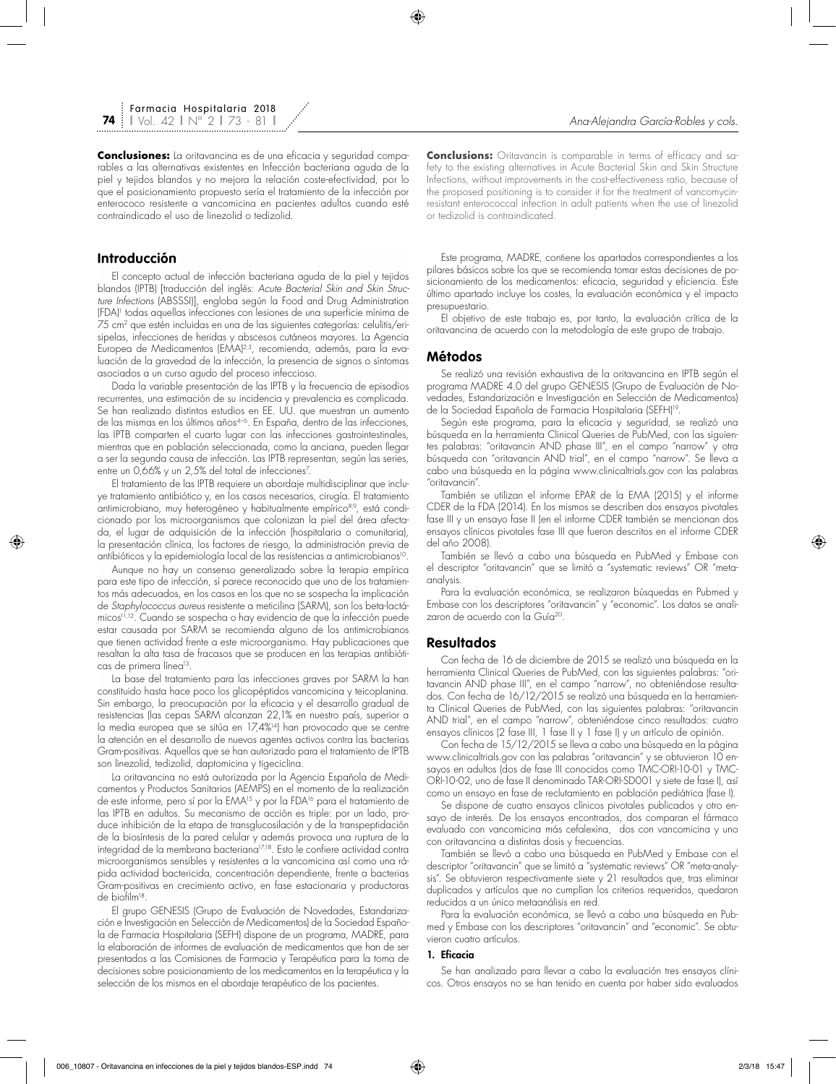**Conclusiones:** La oritavancina es de una eficacia y seguridad comparables a las alternativas existentes en Infección bacteriana aguda de la piel y tejidos blandos y no mejora la relación coste-efectividad, por lo que el posicionamiento propuesto sería el tratamiento de la infección por enterococo resistente a vancomicina en pacientes adultos cuando esté contraindicado el uso de linezolid o tedizolid.

## **Introducción**

El concepto actual de infección bacteriana aguda de la piel y tejidos blandos (IPTB) [traducción del inglés: *Acute Bacterial Skin and Skin Structure Infections* (ABSSSI)], engloba según la Food and Drug Administration (FDA)1 todas aquellas infecciones con lesiones de una superficie mínima de 75 cm2 que estén incluidas en una de las siguientes categorías: celulitis/erisipelas, infecciones de heridas y abscesos cutáneos mayores. La Agencia Europea de Medicamentos (EMA)<sup>2,3</sup>, recomienda, además, para la evaluación de la gravedad de la infección, la presencia de signos o síntomas asociados a un curso agudo del proceso infeccioso.

Dada la variable presentación de las IPTB y la frecuencia de episodios recurrentes, una estimación de su incidencia y prevalencia es complicada. Se han realizado distintos estudios en EE. UU. que muestran un aumento de las mismas en los últimos años4–6. En España, dentro de las infecciones, las IPTB comparten el cuarto lugar con las infecciones gastrointestinales, mientras que en población seleccionada, como la anciana, pueden llegar a ser la segunda causa de infección. Las IPTB representan, según las series, entre un 0,66% y un 2,5% del total de infecciones7 .

El tratamiento de las IPTB requiere un abordaje multidisciplinar que incluye tratamiento antibiótico y, en los casos necesarios, cirugía. El tratamiento antimicrobiano, muy heterogéneo y habitualmente empírico<sup>8,9</sup>, está condicionado por los microorganismos que colonizan la piel del área afectada, el lugar de adquisición de la infección (hospitalaria o comunitaria), la presentación clínica, los factores de riesgo, la administración previa de antibióticos y la epidemiología local de las resistencias a antimicrobianos<sup>10</sup>.

Aunque no hay un consenso generalizado sobre la terapia empírica para este tipo de infección, sí parece reconocido que uno de los tratamientos más adecuados, en los casos en los que no se sospecha la implicación de *Staphylococcus aureus* resistente a meticilina (SARM), son los beta-lactámicos11,12. Cuando se sospecha o hay evidencia de que la infección puede estar causada por SARM se recomienda alguno de los antimicrobianos que tienen actividad frente a este microorganismo. Hay publicaciones que resaltan la alta tasa de fracasos que se producen en las terapias antibióticas de primera línea<sup>13</sup>.

La base del tratamiento para las infecciones graves por SARM la han constituido hasta hace poco los glicopéptidos vancomicina y teicoplanina. Sin embargo, la preocupación por la eficacia y el desarrollo gradual de resistencias (las cepas SARM alcanzan 22,1% en nuestro país, superior a la media europea que se sitúa en 17,4%14) han provocado que se centre la atención en el desarrollo de nuevos agentes activos contra las bacterias Gram-positivas. Aquellos que se han autorizado para el tratamiento de IPTB son linezolid, tedizolid, daptomicina y tigeciclina.

La oritavancina no está autorizada por la Agencia Española de Medicamentos y Productos Sanitarios (AEMPS) en el momento de la realización de este informe, pero sí por la EMA<sup>15</sup> y por la FDA<sup>16</sup> para el tratamiento de las IPTB en adultos. Su mecanismo de acción es triple: por un lado, produce inhibición de la etapa de transglucosilación y de la transpeptidación de la biosíntesis de la pared celular y además provoca una ruptura de la integridad de la membrana bacteriana<sup>17,18</sup>. Esto le confiere actividad contra microorganismos sensibles y resistentes a la vancomicina así como una rápida actividad bactericida, concentración dependiente, frente a bacterias Gram-positivas en crecimiento activo, en fase estacionaria y productoras de biofilm18.

El grupo GENESIS (Grupo de Evaluación de Novedades, Estandarización e Investigación en Selección de Medicamentos) de la Sociedad Española de Farmacia Hospitalaria (SEFH) dispone de un programa, MADRE, para la elaboración de informes de evaluación de medicamentos que han de ser presentados a las Comisiones de Farmacia y Terapéutica para la toma de decisiones sobre posicionamiento de los medicamentos en la terapéutica y la selección de los mismos en el abordaje terapéutico de los pacientes.

**Conclusions:** Oritavancin is comparable in terms of efficacy and safety to the existing alternatives in Acute Bacterial Skin and Skin Structure Infections, without improvements in the cost-effectiveness ratio, because of the proposed positioning is to consider it for the treatment of vancomycinresistant enterococcal infection in adult patients when the use of linezolid or tedizolid is contraindicated.

Este programa, MADRE, contiene los apartados correspondientes a los pilares básicos sobre los que se recomienda tomar estas decisiones de posicionamiento de los medicamentos: eficacia, seguridad y eficiencia. Este último apartado incluye los costes, la evaluación económica y el impacto presupuestario.

El objetivo de este trabajo es, por tanto, la evaluación crítica de la oritavancina de acuerdo con la metodología de este grupo de trabajo.

## **Métodos**

Se realizó una revisión exhaustiva de la oritavancina en IPTB según el programa MADRE 4.0 del grupo GENESIS (Grupo de Evaluación de Novedades, Estandarización e Investigación en Selección de Medicamentos) de la Sociedad Española de Farmacia Hospitalaria (SEFH)19.

Según este programa, para la eficacia y seguridad, se realizó una búsqueda en la herramienta Clinical Queries de PubMed, con las siguientes palabras: "oritavancin AND phase III", en el campo "narrow" y otra búsqueda con "oritavancin AND trial", en el campo "narrow". Se lleva a cabo una búsqueda en la página www.clinicaltrials.gov con las palabras "oritavancin".

También se utilizan el informe EPAR de la EMA (2015) y el informe CDER de la FDA (2014). En los mismos se describen dos ensayos pivotales fase III y un ensayo fase II (en el informe CDER también se mencionan dos ensayos clínicos pivotales fase III que fueron descritos en el informe CDER del año 2008).

También se llevó a cabo una búsqueda en PubMed y Embase con el descriptor "oritavancin" que se limitó a "systematic reviews" OR "metaanalysis.

Para la evaluación económica, se realizaron búsquedas en Pubmed y Embase con los descriptores "oritavancin" y "economic". Los datos se analizaron de acuerdo con la Guía<sup>20</sup>.

### **Resultados**

Con fecha de 16 de diciembre de 2015 se realizó una búsqueda en la herramienta Clinical Queries de PubMed, con las siguientes palabras: "oritavancin AND phase III", en el campo "narrow", no obteniéndose resultados. Con fecha de 16/12/2015 se realizó una búsqueda en la herramienta Clinical Queries de PubMed, con las siguientes palabras: "oritavancin AND trial", en el campo "narrow", obteniéndose cinco resultados: cuatro ensayos clínicos (2 fase III, 1 fase II y 1 fase I) y un artículo de opinión.

Con fecha de 15/12/2015 se lleva a cabo una búsqueda en la página www.clinicaltrials.gov con las palabras "oritavancin" y se obtuvieron 10 ensayos en adultos (dos de fase III conocidos como TMC-ORI-10-01 y TMC-ORI-10-02, uno de fase II denominado TAR-ORI-SD001 y siete de fase I), así como un ensayo en fase de reclutamiento en población pediátrica (fase I).

Se dispone de cuatro ensayos clínicos pivotales publicados y otro ensayo de interés. De los ensayos encontrados, dos comparan el fármaco evaluado con vancomicina más cefalexina, dos con vancomicina y uno con oritavancina a distintas dosis y frecuencias.

También se llevó a cabo una búsqueda en PubMed y Embase con el descriptor "oritavancin" que se limitó a "systematic reviews" OR "meta-analysis". Se obtuvieron respectivamente siete y 21 resultados que, tras eliminar duplicados y artículos que no cumplían los criterios requeridos, quedaron reducidos a un único metaanálisis en red.

Para la evaluación económica, se llevó a cabo una búsqueda en Pubmed y Embase con los descriptores "oritavancin" and "economic". Se obtuvieron cuatro artículos.

### 1. Eficacia

Se han analizado para llevar a cabo la evaluación tres ensayos clínicos. Otros ensayos no se han tenido en cuenta por haber sido evaluados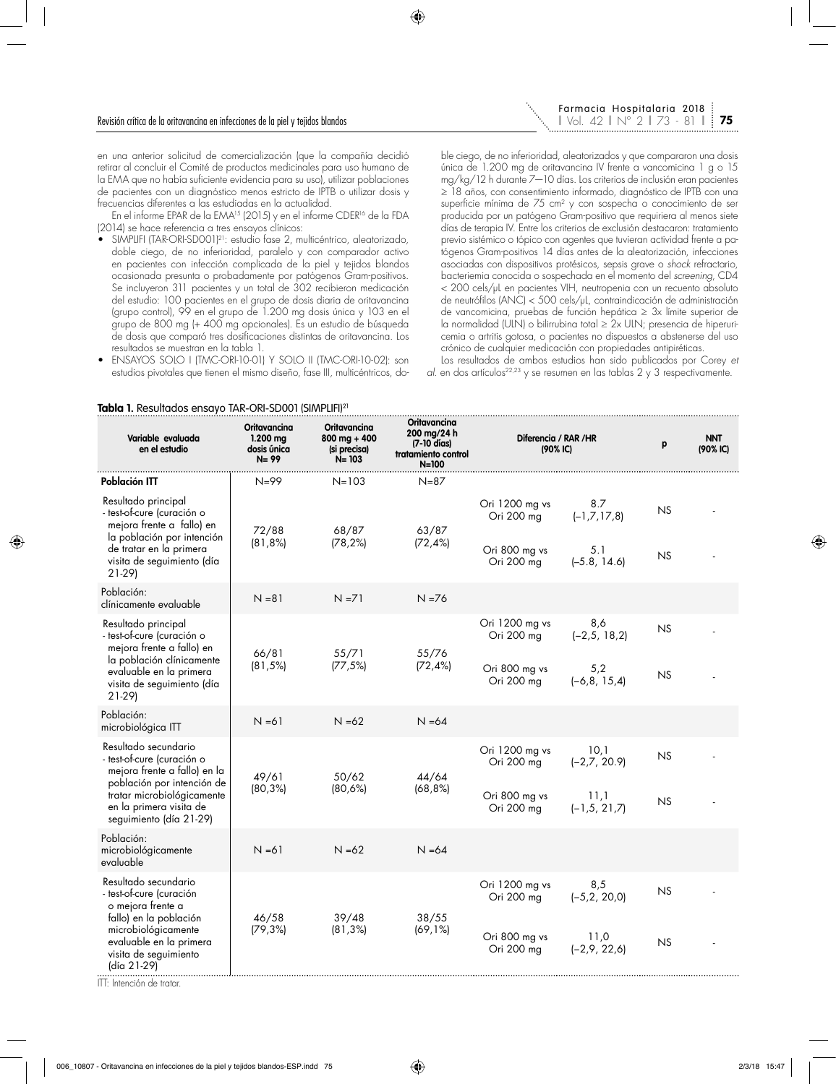en una anterior solicitud de comercialización (que la compañía decidió retirar al concluir el Comité de productos medicinales para uso humano de la EMA que no había suficiente evidencia para su uso), utilizar poblaciones de pacientes con un diagnóstico menos estricto de IPTB o utilizar dosis y frecuencias diferentes a las estudiadas en la actualidad.

En el informe EPAR de la EMA15 (2015) y en el informe CDER16 de la FDA (2014) se hace referencia a tres ensayos clínicos:

- SIMPLIFI (TAR-ORI-SD001)21: estudio fase 2, multicéntrico, aleatorizado, doble ciego, de no inferioridad, paralelo y con comparador activo en pacientes con infección complicada de la piel y tejidos blandos ocasionada presunta o probadamente por patógenos Gram-positivos. Se incluyeron 311 pacientes y un total de 302 recibieron medicación del estudio: 100 pacientes en el grupo de dosis diaria de oritavancina (grupo control), 99 en el grupo de 1.200 mg dosis única y 103 en el grupo de 800 mg (+ 400 mg opcionales). Es un estudio de búsqueda de dosis que comparó tres dosificaciones distintas de oritavancina. Los resultados se muestran en la tabla 1.
- ENSAYOS SOLO I (TMC-ORI-10-01) Y SOLO II (TMC-ORI-10-02): son estudios pivotales que tienen el mismo diseño, fase III, multicéntricos, do-

ble ciego, de no inferioridad, aleatorizados y que compararon una dosis única de 1.200 mg de oritavancina IV frente a vancomicina 1 g o 15 mg/kg/12 h durante 7—10 días. Los criterios de inclusión eran pacientes ≥ 18 años, con consentimiento informado, diagnóstico de IPTB con una superficie mínima de 75 cm<sup>2</sup> y con sospecha o conocimiento de ser producida por un patógeno Gram-positivo que requiriera al menos siete días de terapia IV. Entre los criterios de exclusión destacaron: tratamiento previo sistémico o tópico con agentes que tuvieran actividad frente a patógenos Gram-positivos 14 días antes de la aleatorización, infecciones asociadas con dispositivos protésicos, sepsis grave o *shock* refractario, bacteriemia conocida o sospechada en el momento del *screening*, CD4 < 200 cels/μL en pacientes VIH, neutropenia con un recuento absoluto de neutrófilos (ANC) < 500 cels/μL, contraindicación de administración de vancomicina, pruebas de función hepática ≥ 3x límite superior de la normalidad (ULN) o bilirrubina total ≥ 2x ULN; presencia de hiperuricemia o artritis gotosa, o pacientes no dispuestos a abstenerse del uso crónico de cualquier medicación con propiedades antipiréticas.

Los resultados de ambos estudios han sido publicados por Corey *et al.* en dos artículos<sup>22,23</sup> y se resumen en las tablas 2 y 3 respectivamente.

| Variable evaluada<br>en el estudio                                                                                                                                                                   | Oritavancina<br>$1.200$ mg<br>dosis única<br>$N = 99$ | Oritavancina<br>$800$ mg + 400<br>(si precisa)<br>$N = 103$ | Oritavancina<br>200 mg/24 h<br>(7-10 días)<br>tratamiento control<br>$N = 100$ | Diferencia / RAR / HR<br>$(90%$ IC)                         |                                                    | p               | <b>NNT</b><br>(90% C) |
|------------------------------------------------------------------------------------------------------------------------------------------------------------------------------------------------------|-------------------------------------------------------|-------------------------------------------------------------|--------------------------------------------------------------------------------|-------------------------------------------------------------|----------------------------------------------------|-----------------|-----------------------|
| Población ITT                                                                                                                                                                                        | $N = 99$                                              | $N = 103$                                                   | $N = 87$                                                                       |                                                             |                                                    |                 |                       |
| Resultado principal<br>- test-of-cure (curación o<br>mejora frente a fallo) en<br>la población por intención<br>de tratar en la primera<br>visita de seguimiento (día<br>$21-29$                     | 72/88<br>$(81, 8\%)$                                  | 68/87<br>(78, 2%)                                           | 63/87<br>$(72, 4\%)$                                                           | Ori 1200 mg vs<br>Ori 200 mg<br>Ori 800 mg vs<br>Ori 200 mg | 8.7<br>$(-1, 7, 17, 8)$<br>5.1<br>$(-5.8, 14.6)$   | NS<br>NS        |                       |
| Población:<br>clínicamente evaluable                                                                                                                                                                 | $N = 81$                                              | $N = 71$                                                    | $N = 76$                                                                       |                                                             |                                                    |                 |                       |
| Resultado principal<br>- test-of-cure (curación o<br>mejora frente a fallo) en<br>la población clínicamente<br>evaluable en la primera<br>visita de seguimiento (día<br>$21-29$                      | 66/81<br>(81,5%)                                      | 55/71<br>(77, 5%)                                           | 55/76<br>$(72, 4\%)$                                                           | Ori 1200 mg vs<br>Ori 200 mg<br>Ori 800 mg vs<br>Ori 200 mg | 8,6<br>$(-2, 5, 18, 2)$<br>5,2<br>$(-6, 8, 15, 4)$ | <b>NS</b><br>NS |                       |
| Población:<br>microbiológica ITT                                                                                                                                                                     | $N = 61$                                              | $N = 62$                                                    | $N = 64$                                                                       |                                                             |                                                    |                 |                       |
| Resultado secundario<br>- test-of-cure (curación o<br>mejora frente a fallo) en la<br>población por intención de<br>tratar microbiológicamente<br>en la primera visita de<br>seguimiento (día 21-29) | 49/61<br>$(80, 3\%)$                                  | 50/62<br>(80,6%)                                            | 44/64<br>(68, 8%)                                                              | Ori 1200 mg vs<br>Ori 200 mg<br>Ori 800 mg vs<br>Ori 200 mg | 10,1<br>$(-2,7, 20.9)$<br>11,1<br>$(-1, 5, 21, 7)$ | <b>NS</b><br>NS |                       |
| Población:<br>microbiológicamente<br>evaluable                                                                                                                                                       | $N = 61$                                              | $N = 62$                                                    | $N = 64$                                                                       |                                                             |                                                    |                 |                       |
| Resultado secundario<br>- test-of-cure (curación<br>o mejora frente a<br>fallo) en la población<br>microbiológicamente<br>evaluable en la primera<br>visita de seguimiento<br>(día 21-29)            | 46/58<br>(79,3%)                                      | 39/48<br>$(81, 3\%)$                                        | 38/55<br>(69,1%)                                                               | Ori 1200 mg vs<br>Ori 200 mg<br>Ori 800 mg vs<br>Ori 200 mg | 8,5<br>$(-5, 2, 20, 0)$<br>11,0<br>$(-2,9, 22,6)$  | <b>NS</b><br>NS |                       |

### **Tabla 1.** Resultados ensayo TAR-ORI-SD001 (SIMPLIFI)21

ITT: Intención de tratar.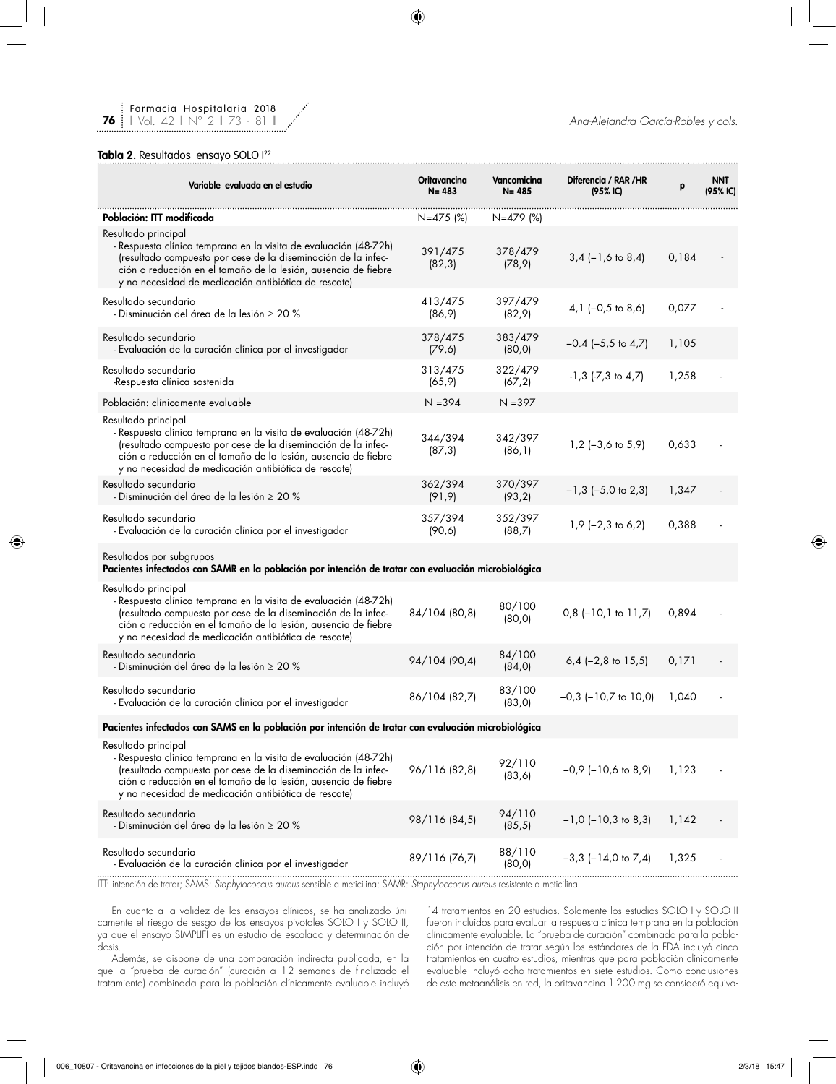### Tabla 2. Resultados ensayo SOLO <sup>122</sup>

| Variable evaluada en el estudio                                                                                                                                                                                                                                                    | Oritavancina<br>$N = 483$ | Vancomicina<br>$N = 485$ | Diferencia / RAR /HR<br>$(95%$ IC) | р     | <b>NNT</b><br>(95% IC) |
|------------------------------------------------------------------------------------------------------------------------------------------------------------------------------------------------------------------------------------------------------------------------------------|---------------------------|--------------------------|------------------------------------|-------|------------------------|
| Población: ITT modificada                                                                                                                                                                                                                                                          | $N=475$ (%)               | N=479 (%)                |                                    |       |                        |
| Resultado principal<br>- Respuesta clínica temprana en la visita de evaluación (48-72h)<br>(resultado compuesto por cese de la diseminación de la infec-<br>ción o reducción en el tamaño de la lesión, ausencia de fiebre<br>y no necesidad de medicación antibiótica de rescate) | 391/475<br>(82, 3)        | 378/479<br>(78, 9)       | $3,4$ (-1,6 to 8,4)                | 0,184 |                        |
| Resultado secundario<br>- Disminución del área de la lesión $\geq 20$ %                                                                                                                                                                                                            | 413/475<br>(86, 9)        | 397/479<br>(82, 9)       | $4,1$ (-0,5 to 8,6)                | 0,077 |                        |
| Resultado secundario<br>- Evaluación de la curación clínica por el investigador                                                                                                                                                                                                    | 378/475<br>(79, 6)        | 383/479<br>(80, 0)       | $-0.4$ ( $-5.5$ to $4.7$ )         | 1,105 |                        |
| Resultado secundario<br>-Respuesta clínica sostenida                                                                                                                                                                                                                               | 313/475<br>(65, 9)        | 322/479<br>(67, 2)       | $-1, 3$ $(-7, 3)$ to $4, 7$        | 1,258 |                        |
| Población: clínicamente evaluable                                                                                                                                                                                                                                                  | $N = 394$                 | $N = 397$                |                                    |       |                        |
| Resultado principal<br>- Respuesta clínica temprana en la visita de evaluación (48-72h)<br>(resultado compuesto por cese de la diseminación de la infec-<br>ción o reducción en el tamaño de la lesión, ausencia de fiebre<br>y no necesidad de medicación antibiótica de rescate) | 344/394<br>(87, 3)        | 342/397<br>(86, 1)       | $1,2$ (-3,6 to 5,9)                | 0,633 |                        |
| Resultado secundario<br>- Disminución del área de la lesión $\geq 20$ %                                                                                                                                                                                                            | 362/394<br>(91, 9)        | 370/397<br>(93, 2)       | $-1,3$ (-5,0 to 2,3)               | 1,347 |                        |
| Resultado secundario<br>- Evaluación de la curación clínica por el investigador                                                                                                                                                                                                    | 357/394<br>(90, 6)        | 352/397<br>(88,7)        | $1,9$ (-2,3 to 6,2)                | 0,388 |                        |
| Resultados por subgrupos<br>Pacientes infectados con SAMR en la población por intención de tratar con evaluación microbiológica                                                                                                                                                    |                           |                          |                                    |       |                        |
| Resultado principal<br>- Respuesta clínica temprana en la visita de evaluación (48-72h)<br>(resultado compuesto por cese de la diseminación de la infec-<br>ción o reducción en el tamaño de la lesión, ausencia de fiebre<br>y no necesidad de medicación antibiótica de rescate) | 84/104 (80,8)             | 80/100<br>(80, 0)        | $0,8$ (-10,1 to 11,7)              | 0,894 |                        |
| Resultado secundario<br>- Disminución del área de la lesión $\geq 20$ %                                                                                                                                                                                                            | 94/104 (90,4)             | 84/100<br>(84, 0)        | $6,4$ (-2,8 to 15,5)               | 0,171 |                        |
| Resultado secundario<br>- Evaluación de la curación clínica por el investigador                                                                                                                                                                                                    | 86/104 (82,7)             | 83/100<br>(83, 0)        | $-0,3$ ( $-10,7$ to $10,0$ )       | 1,040 |                        |
| Pacientes infectados con SAMS en la población por intención de tratar con evaluación microbiológica                                                                                                                                                                                |                           |                          |                                    |       |                        |
| Resultado principal<br>- Respuesta clínica temprana en la visita de evaluación (48-72h)<br>(resultado compuesto por cese de la diseminación de la infec-<br>ción o reducción en el tamaño de la lesión, ausencia de fiebre<br>y no necesidad de medicación antibiótica de rescate) | 96/116 (82,8)             | 92/110<br>(83, 6)        | $-0,9$ ( $-10,6$ to 8,9)           | 1,123 |                        |
| Resultado secundario<br>- Disminución del área de la lesión $\geq 20$ %                                                                                                                                                                                                            | 98/116 (84,5)             | 94/110<br>(85, 5)        | $-1,0$ ( $-10,3$ to 8,3)           | 1,142 |                        |
| Resultado secundario<br>- Evaluación de la curación clínica por el investigador                                                                                                                                                                                                    | 89/116 (76,7)             | 88/110<br>(80, 0)        | $-3,3$ ( $-14,0$ to $7,4$ )        | 1,325 |                        |

ITT: intención de tratar; SAMS: *Staphylococcus aureus* sensible a meticilina; SAMR: *Staphyloccocus aureus* resistente a meticilina.

En cuanto a la validez de los ensayos clínicos, se ha analizado únicamente el riesgo de sesgo de los ensayos pivotales SOLO I y SOLO II, ya que el ensayo SIMPLIFI es un estudio de escalada y determinación de dosis.

Además, se dispone de una comparación indirecta publicada, en la que la "prueba de curación" (curación a 1-2 semanas de finalizado el tratamiento) combinada para la población clínicamente evaluable incluyó

14 tratamientos en 20 estudios. Solamente los estudios SOLO I y SOLO II fueron incluidos para evaluar la respuesta clínica temprana en la población clínicamente evaluable. La "prueba de curación" combinada para la población por intención de tratar según los estándares de la FDA incluyó cinco tratamientos en cuatro estudios, mientras que para población clínicamente evaluable incluyó ocho tratamientos en siete estudios. Como conclusiones de este metaanálisis en red, la oritavancina 1.200 mg se consideró equiva-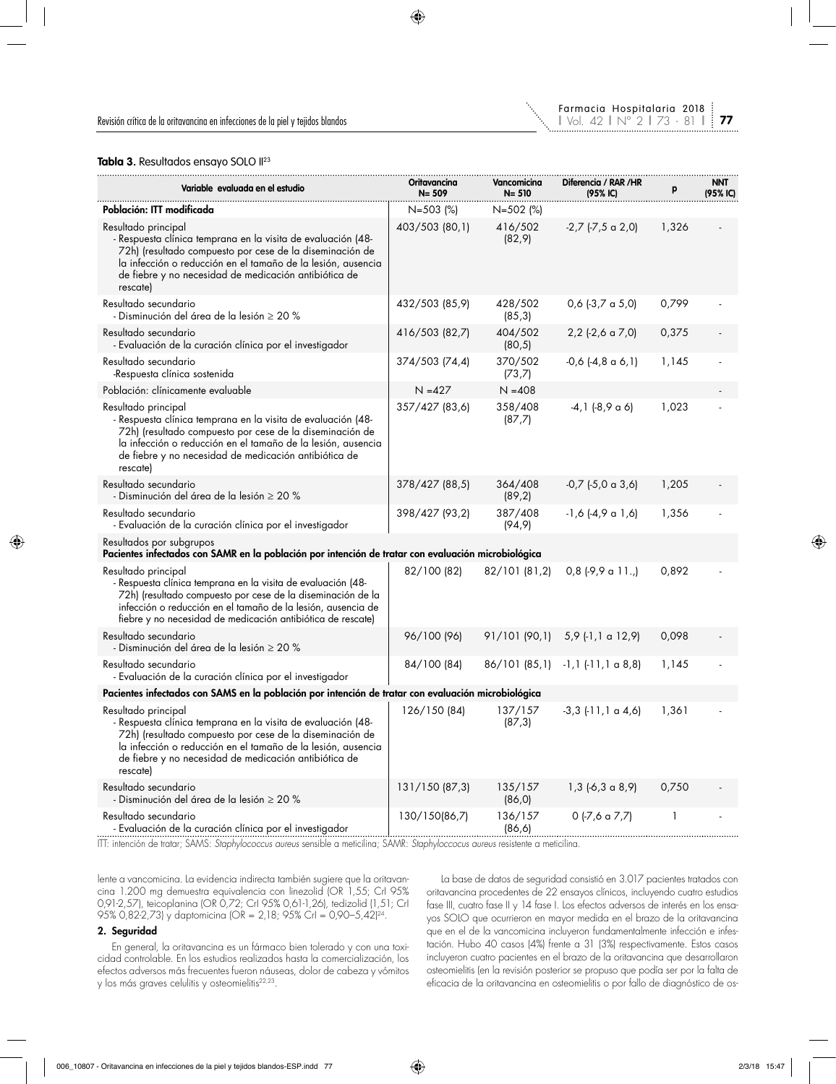

**77**

### Tabla 3. Resultados ensayo SOLO II<sup>23</sup>

| Variable evaluada en el estudio                                                                                                                                                                                                                                                      | Oritavancina<br>$N = 509$ | Vancomicina<br>$N = 510$ | Diferencia / RAR /HR<br>(95% IC) | р     | <b>NNT</b><br>(95% IC) |
|--------------------------------------------------------------------------------------------------------------------------------------------------------------------------------------------------------------------------------------------------------------------------------------|---------------------------|--------------------------|----------------------------------|-------|------------------------|
| Población: ITT modificada                                                                                                                                                                                                                                                            | $N = 503$ (%)             | N=502 (%)                |                                  |       |                        |
| Resultado principal<br>- Respuesta clínica temprana en la visita de evaluación (48-<br>72h) (resultado compuesto por cese de la diseminación de<br>la infección o reducción en el tamaño de la lesión, ausencia<br>de fiebre y no necesidad de medicación antibiótica de<br>rescate) | 403/503 (80,1)            | 416/502<br>(82, 9)       | $-2,7$ ( $-7,5$ a $2,0$ )        | 1,326 |                        |
| Resultado secundario<br>- Disminución del área de la lesión $\geq 20\%$                                                                                                                                                                                                              | 432/503 (85,9)            | 428/502<br>(85, 3)       | $0,6$ (-3,7 a 5,0)               | 0,799 |                        |
| Resultado secundario<br>- Evaluación de la curación clínica por el investigador                                                                                                                                                                                                      | 416/503 (82,7)            | 404/502<br>(80, 5)       | $2,2$ (-2,6 a 7,0)               | 0,375 |                        |
| Resultado secundario<br>-Respuesta clínica sostenida                                                                                                                                                                                                                                 | 374/503 (74,4)            | 370/502<br>(73,7)        | $-0,6$ $(-4,8 \text{ a } 6,1)$   | 1,145 |                        |
| Población: clínicamente evaluable                                                                                                                                                                                                                                                    | $N = 427$                 | $N = 408$                |                                  |       |                        |
| Resultado principal<br>- Respuesta clínica temprana en la visita de evaluación (48-<br>72h) (resultado compuesto por cese de la diseminación de<br>la infección o reducción en el tamaño de la lesión, ausencia<br>de fiebre y no necesidad de medicación antibiótica de<br>rescate) | 357/427 (83,6)            | 358/408<br>(87,7)        | $-4,1$ $(-8,9 \text{ a } 6)$     | 1,023 |                        |
| Resultado secundario<br>- Disminución del área de la lesión $\geq 20\%$                                                                                                                                                                                                              | 378/427 (88,5)            | 364/408<br>(89,2)        | $-0,7$ $(-5,0 \text{ a } 3,6)$   | 1,205 |                        |
| Resultado secundario<br>- Evaluación de la curación clínica por el investigador                                                                                                                                                                                                      | 398/427 (93,2)            | 387/408<br>(94, 9)       | $-1,6$ $(-4,9$ a $1,6)$          | 1,356 |                        |
| Resultados por subgrupos<br>Pacientes infectados con SAMR en la población por intención de tratar con evaluación microbiológica                                                                                                                                                      |                           |                          |                                  |       |                        |
| Resultado principal<br>- Respuesta clínica temprana en la visita de evaluación (48-<br>72h) (resultado compuesto por cese de la diseminación de la<br>infección o reducción en el tamaño de la lesión, ausencia de<br>fiebre y no necesidad de medicación antibiótica de rescate)    | 82/100 (82)               | 82/101 (81,2)            | $0,8$ (-9,9 a 11.,)              | 0,892 |                        |
| Resultado secundario<br>- Disminución del área de la lesión $\geq 20$ %                                                                                                                                                                                                              | 96/100 (96)               | 91/101 (90,1)            | 5,9 (-1,1 a 12,9)                | 0,098 |                        |
| Resultado secundario<br>- Evaluación de la curación clínica por el investigador                                                                                                                                                                                                      | 84/100 (84)               | 86/101 (85,1)            | $-1, 1$ $(-11, 1 \alpha 8, 8)$   | 1,145 |                        |
| Pacientes infectados con SAMS en la población por intención de tratar con evaluación microbiológica                                                                                                                                                                                  |                           |                          |                                  |       |                        |
| Resultado principal<br>- Respuesta clínica temprana en la visita de evaluación (48-<br>72h) (resultado compuesto por cese de la diseminación de<br>la infección o reducción en el tamaño de la lesión, ausencia<br>de fiebre y no necesidad de medicación antibiótica de<br>rescate) | 126/150 (84)              | 137/157<br>(87, 3)       | $-3,3$ $(-11,1 \alpha 4,6)$      | 1,361 |                        |
| Resultado secundario<br>- Disminución del área de la lesión $\geq 20~\%$                                                                                                                                                                                                             | 131/150 (87,3)            | 135/157<br>(86, 0)       | $1,3$ (-6,3 a 8,9)               | 0,750 |                        |
| Resultado secundario<br>- Evaluación de la curación clínica por el investigador                                                                                                                                                                                                      | 130/150(86,7)             | 136/157<br>(86, 6)       | $0$ (-7,6 a 7,7)                 | 1     |                        |

ITT: intención de tratar; SAMS: *Staphylococcus aureus* sensible a meticilina; SAMR: *Staphyloccocus aureus* resistente a meticilina.

lente a vancomicina. La evidencia indirecta también sugiere que la oritavancina 1.200 mg demuestra equivalencia con linezolid (OR 1,55; CrI 95% 0,91-2,57), teicoplanina (OR 0,72; CrI 95% 0,61-1,26), tedizolid (1,51; CrI 95% 0,82-2,73) y daptomicina (OR = 2,18; 95% CrI = 0,90–5,42)24.

#### 2. Seguridad

En general, la oritavancina es un fármaco bien tolerado y con una toxicidad controlable. En los estudios realizados hasta la comercialización, los efectos adversos más frecuentes fueron náuseas, dolor de cabeza y vómitos y los más graves celulitis y osteomielitis22,23.

La base de datos de seguridad consistió en 3.017 pacientes tratados con oritavancina procedentes de 22 ensayos clínicos, incluyendo cuatro estudios fase III, cuatro fase II y 14 fase I. Los efectos adversos de interés en los ensayos SOLO que ocurrieron en mayor medida en el brazo de la oritavancina que en el de la vancomicina incluyeron fundamentalmente infección e infestación. Hubo 40 casos (4%) frente a 31 (3%) respectivamente. Estos casos incluyeron cuatro pacientes en el brazo de la oritavancina que desarrollaron osteomielitis (en la revisión posterior se propuso que podía ser por la falta de eficacia de la oritavancina en osteomielitis o por fallo de diagnóstico de os-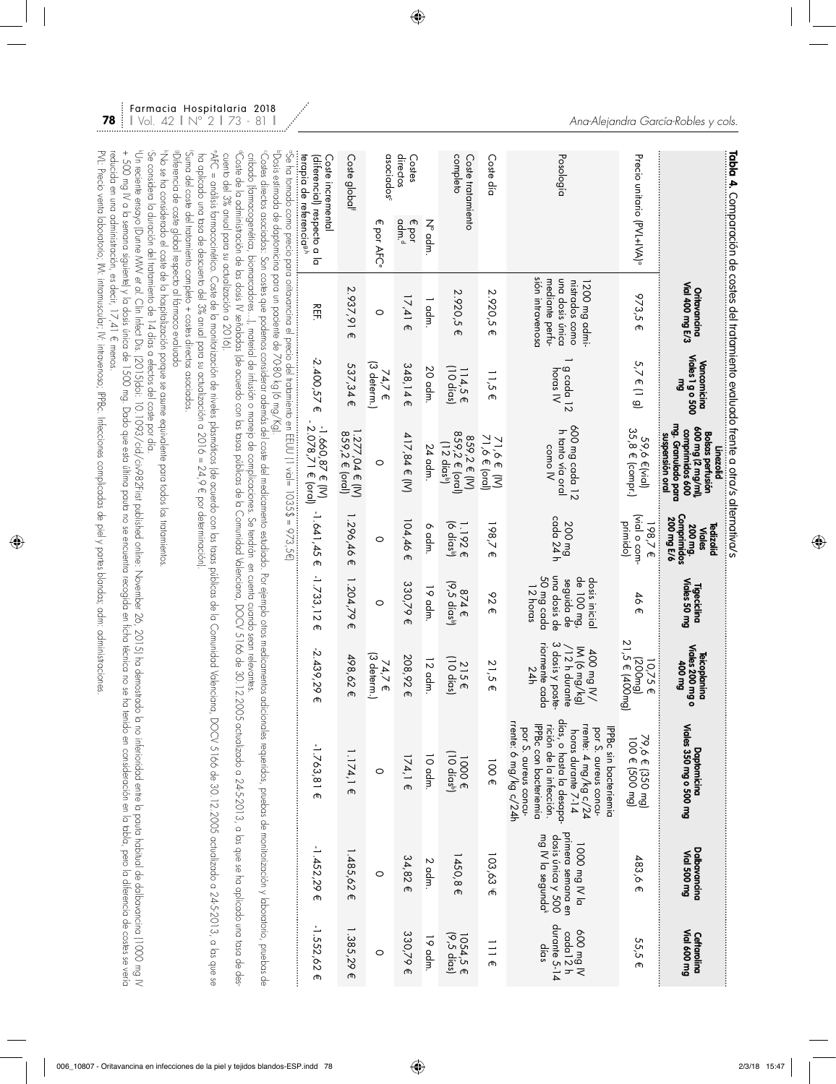| Tabla 4. Comparación de costes del tratamiento evaluado trente a otra/s alternativa/s                                                                                                                                                                                                                                                                                                                                                                                                                                                                                                                                                                                                                                                  |                                                                                           |                                           |                                                                                                                      |                                                                           |                                                                                     |                                                                                            |                                                                                                                                                                                                                              |                                                                                          |                                                          |
|----------------------------------------------------------------------------------------------------------------------------------------------------------------------------------------------------------------------------------------------------------------------------------------------------------------------------------------------------------------------------------------------------------------------------------------------------------------------------------------------------------------------------------------------------------------------------------------------------------------------------------------------------------------------------------------------------------------------------------------|-------------------------------------------------------------------------------------------|-------------------------------------------|----------------------------------------------------------------------------------------------------------------------|---------------------------------------------------------------------------|-------------------------------------------------------------------------------------|--------------------------------------------------------------------------------------------|------------------------------------------------------------------------------------------------------------------------------------------------------------------------------------------------------------------------------|------------------------------------------------------------------------------------------|----------------------------------------------------------|
|                                                                                                                                                                                                                                                                                                                                                                                                                                                                                                                                                                                                                                                                                                                                        | Oritavancina<br>Vial 400 mg E/3                                                           | Viales 1 g o 500<br>Vancomicina<br>Бш     | mg. Granulado para<br>600 mg (2 mg/ml)<br>comprimidos 600<br><b>Bolsas perfusión</b><br>suspensión oral<br>Linezolid | Comprimidos<br>200 mg E/6<br>200 mg.<br><b>Tedizolid</b><br><b>Viales</b> | Viales 50 mg<br>Tigeciclina                                                         | Viales 200 mg<br><b>Teicoplanina</b><br><b>TOO mg</b>                                      | Viales 350 mg o 500 mg<br>Daptomicina                                                                                                                                                                                        | Dalbavancina<br>Vial 500 mg                                                              | Ceftarolina<br>Vial 600 mg                               |
| Precio unitario (PVL+IVA) <sup>a</sup>                                                                                                                                                                                                                                                                                                                                                                                                                                                                                                                                                                                                                                                                                                 | 973,5 €                                                                                   | $5,7 \in (1, 9)$                          | 35,8 € (compr.)<br>59,6 €(vial)                                                                                      | (vial o com-<br>primido)<br>198,7€<br>                                    | 46€                                                                                 | 21,5 € (400mg)<br>(200mg)<br>10,75 €                                                       | 79,6 € (350 mg)<br>100 € (500 mg)                                                                                                                                                                                            | 483,6 €                                                                                  | 55,5 E                                                   |
| Posología                                                                                                                                                                                                                                                                                                                                                                                                                                                                                                                                                                                                                                                                                                                              | sión intravenosc<br>mediante pertu-<br>una dosis única<br>nistrados como<br>1200 mg admi- | $\frac{g \text{ cada}}{h \text{oras } N}$ | 600 mg cada 12<br>h tanto vía oral<br>como IV                                                                        | cada 24 h<br>200 mg                                                       | una dosis de<br>50 mg cada<br>de 100 mg,<br>dosis inicial<br>seguida de<br>12 horas | 3 dosis y poste-<br>riormente cada<br>IM (6 mg/kg)<br>$/12$ h durante<br>100 mg IV/<br>24h | días, o hasta la desapa-<br>rrente: 6 mg/kg c/24h<br>IPPBc con bacteriemia<br>rición de la infección.<br>rrente: 4 mg/kg c/24<br>horas durante 7-14<br>IPPBc sin bacteriemia<br>por S. aureus concu-<br>por S. aureus concu- | primera semana en<br>dosis única y 500<br>mg IV la segunda <sup>k</sup><br>1000 mg IV la | durante 5-14<br>N Bw 009<br>cada 12 <sub>h</sub><br>dias |
| Coste día                                                                                                                                                                                                                                                                                                                                                                                                                                                                                                                                                                                                                                                                                                                              | 2.920,5<br>መ                                                                              | $\frac{1}{2}$<br>መ                        | 71,6 € (oral)<br>71,6 € (M)                                                                                          | 198,7€                                                                    | 626                                                                                 | 21,5<br>መ                                                                                  | 100€                                                                                                                                                                                                                         | 103,63                                                                                   | 3111                                                     |
| completo<br>Coste tratamiento                                                                                                                                                                                                                                                                                                                                                                                                                                                                                                                                                                                                                                                                                                          | 2.920,5<br>መ                                                                              | (10 días)<br>114,55                       | 859,2 € (oral)<br>859,2 € (IV)<br>$(12$ dias <sup>b</sup> )                                                          | (6 días <sup>b</sup> )<br>1.192€                                          | (9,5 días <sup>b</sup> )<br>874E                                                    | (10 días)<br>215E                                                                          | $(10$ días <sup>b</sup> )<br>1000€                                                                                                                                                                                           | 1450,8<br>ക                                                                              | 1054,5 €<br>(9,5 días)                                   |
| $N°$ adm.                                                                                                                                                                                                                                                                                                                                                                                                                                                                                                                                                                                                                                                                                                                              | 1 adm.                                                                                    | 20 adm                                    | 24 adm.                                                                                                              | 6 adm.                                                                    | 19 adm                                                                              | 12 adm                                                                                     | 10 adm.                                                                                                                                                                                                                      | $2$ adm.                                                                                 | 19 adm                                                   |
| directos<br>Costes<br>adm. <sup>d</sup><br>€ por                                                                                                                                                                                                                                                                                                                                                                                                                                                                                                                                                                                                                                                                                       | $17,41 \in$                                                                               | 348,145                                   | 417,84 € (IV)                                                                                                        | 104,46 €                                                                  | 330,79 €                                                                            | 208,92 €                                                                                   | $174,1 \in$                                                                                                                                                                                                                  | 34,82€                                                                                   | 330,79€                                                  |
| asociados <sup>c</sup><br>መ<br>por AFC <sup>6</sup>                                                                                                                                                                                                                                                                                                                                                                                                                                                                                                                                                                                                                                                                                    | 0                                                                                         | (3 determ.)<br>74,7 €                     | 0                                                                                                                    | 0                                                                         | 0                                                                                   | (3 determ.)<br>74,7 E                                                                      | $\circ$                                                                                                                                                                                                                      | $\circ$                                                                                  | 0                                                        |
| Coste global                                                                                                                                                                                                                                                                                                                                                                                                                                                                                                                                                                                                                                                                                                                           | 2.937,91€                                                                                 | 537,34 €                                  | 1.277,04 € (IV)<br>859,2 € (oral)                                                                                    | 296,46 €                                                                  | $1.204, 79$ €                                                                       | 498,62 €                                                                                   | 1.174,1 $\varepsilon$                                                                                                                                                                                                        | $1.485,62 \in$                                                                           | $1.385, 29$ €                                            |
| terapia de reterencia <sup>9, h</sup><br>Coste incremental<br>(diferencial) respecto a la                                                                                                                                                                                                                                                                                                                                                                                                                                                                                                                                                                                                                                              | 帘.                                                                                        | $2.400, 57 \in$                           | $-2.078,71 \in \text{(orgl)}$<br>$-1.660,87 \in [N]$                                                                 | -1.641,45 €                                                               | $-1.733, 125$                                                                       | 2.439,29 €                                                                                 | $-1.763,81 \in$                                                                                                                                                                                                              | $-1.452, 295$                                                                            | $-1.552, 62 \in$                                         |
| «Costes directos asociados: Son costes que podemos considerar además del coste del medicamto estudiado. Por ejemplo atros medicamentos a<br>∘Dosis estimada de daptomicina para un paciente de 70−80 kg (6 mg/Kg).<br>«Coste de las arcións de acuerdo cola de acuerdo con las anticas públicas o 10.2005 actividad Valencia do Lo CoV 51960 actual valencia do la Cominidad Valencia de 10.2005 actual 30.12.2005 actual soblero de a de a ser la c<br>cribado (tarmacogenética, biomarcadores), material de intusión o manejo de complicaciones. Se tendián en cuenta cuando sean relevantes.                                                                                                                                        |                                                                                           |                                           |                                                                                                                      |                                                                           |                                                                                     |                                                                                            | dicionales requeridos, pruebas de monitorización y laboratorio, pruebas de                                                                                                                                                   |                                                                                          |                                                          |
| sDiterencia de coste global respecto al fármaco evaluado<br>1No se ha considerado el coste de la hospitalización porque se asume equivalente para todos los tratamientos.<br>*AFC = andiisis farmacocinético. Coste de la monitorización de inveles plasmicios (de acuerdo valicas de la Comunidad Valenciana, DOCV 5166 de 30.12.2005 actualizado a 24-5-2013, a las que se<br>i.Se considered a direction del 14 de 14 de 14 de 14 de 14 de 15 de 16 de 16 de 16 de 16 de 16 de 16 de 16 de 1<br>"Suma del coste del tratamiento completo + costes directos asociados<br>ha aplicado una tasa de descuento del 3% anual para su actualización a 2016 = 24,9 € por determinación<br>cuento del 3% anual para su actualización a 2016) |                                                                                           |                                           |                                                                                                                      |                                                                           |                                                                                     |                                                                                            |                                                                                                                                                                                                                              |                                                                                          |                                                          |

Se considera la duración del tratamiento de 14 días a efectos del coste por día.

Farmacia Hospitalaria 2018

Un reciente ensayo (Dunne MW *et al.* Clin Infect Dis. (2015)doi: 10.1093/cid/civ982First published online: November 26, 2015) ha demostrado la no inferioridad entre la pauta habitual de dalbavancina (1000 mg IV) [1] reducida en una administración, es decir, 17,41 € menos. + 500 mg IV a la semana siguiente) y la dosis varionte) y la dosis que algos de antiga no se encuentra no se encuentra recogida en ficha técnica no se ha tenido en la tenida de consideración en la tabla, pero la de conside

reducida en una administración, es decir, 17,41 € menos.<br>PVL: Precio venta laboratorio; IVN: intramuscular; IV: intravenoso; IPPBc. Infecciones complicadas de piel y partes blandas; adm: administraciones. PVL: Precio venta laboratorio; IM: intramuscular; IV: intravenoso; IPPBc. Infecciones complicadas de piel y partes blandas; adm: administraciones.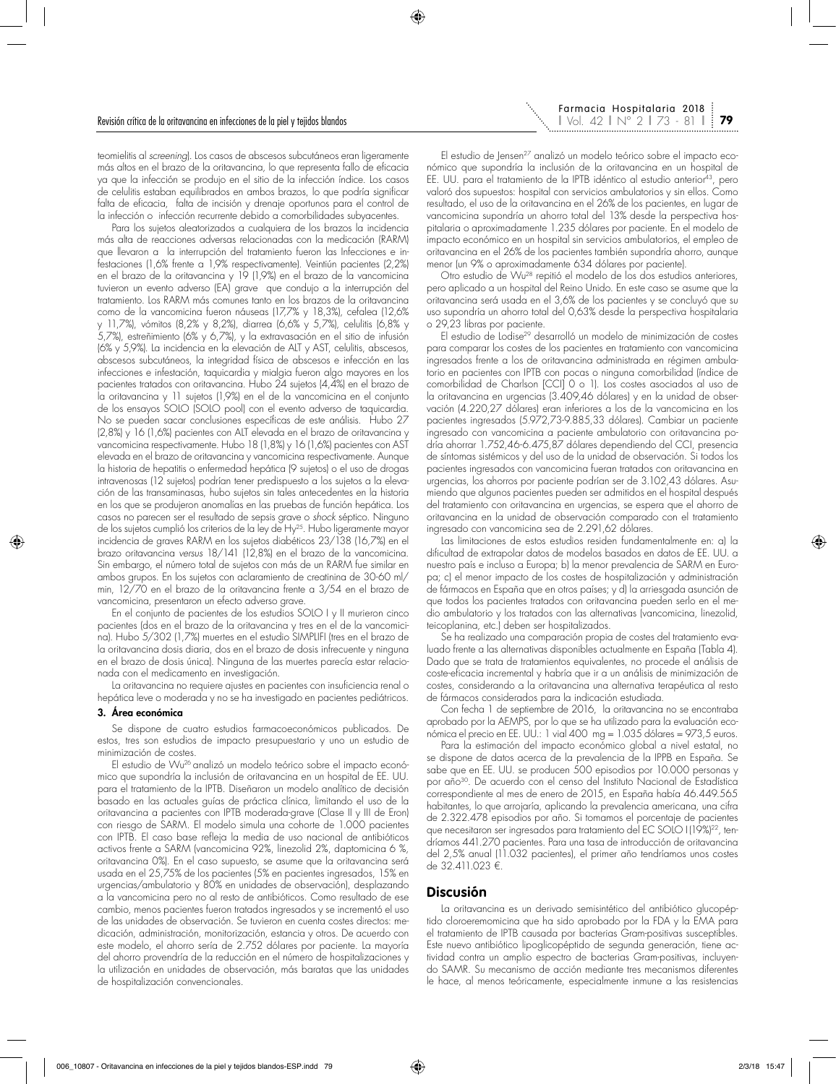teomielitis al *screening*). Los casos de abscesos subcutáneos eran ligeramente más altos en el brazo de la oritavancina, lo que representa fallo de eficacia ya que la infección se produjo en el sitio de la infección índice. Los casos de celulitis estaban equilibrados en ambos brazos, lo que podría significar falta de eficacia, falta de incisión y drenaje oportunos para el control de la infección o infección recurrente debido a comorbilidades subyacentes.

Para los sujetos aleatorizados a cualquiera de los brazos la incidencia más alta de reacciones adversas relacionadas con la medicación (RARM) que llevaron a la interrupción del tratamiento fueron las Infecciones e infestaciones (1,6% frente a 1,9% respectivamente). Veintiún pacientes (2,2%) en el brazo de la oritavancina y 19 (1,9%) en el brazo de la vancomicina tuvieron un evento adverso (EA) grave que condujo a la interrupción del tratamiento. Los RARM más comunes tanto en los brazos de la oritavancina como de la vancomicina fueron náuseas (17,7% y 18,3%), cefalea (12,6% y 11,7%), vómitos (8,2% y 8,2%), diarrea (6,6% y 5,7%), celulitis (6,8% y 5,7%), estreñimiento (6% y 6,7%), y la extravasación en el sitio de infusión (6% y 5,9%). La incidencia en la elevación de ALT y AST, celulitis, abscesos, abscesos subcutáneos, la integridad física de abscesos e infección en las infecciones e infestación, taquicardia y mialgia fueron algo mayores en los pacientes tratados con oritavancina. Hubo 24 sujetos (4,4%) en el brazo de la oritavancina y 11 sujetos (1,9%) en el de la vancomicina en el conjunto de los ensayos SOLO (SOLO pool) con el evento adverso de taquicardia. No se pueden sacar conclusiones específicas de este análisis. Hubo 27 (2,8%) y 16 (1,6%) pacientes con ALT elevada en el brazo de oritavancina y vancomicina respectivamente. Hubo 18 (1,8%) y 16 (1,6%) pacientes con AST elevada en el brazo de oritavancina y vancomicina respectivamente. Aunque la historia de hepatitis o enfermedad hepática (9 sujetos) o el uso de drogas intravenosas (12 sujetos) podrían tener predispuesto a los sujetos a la elevación de las transaminasas, hubo sujetos sin tales antecedentes en la historia en los que se produjeron anomalías en las pruebas de función hepática. Los casos no parecen ser el resultado de sepsis grave o *shock* séptico. Ninguno de los sujetos cumplió los criterios de la ley de Hy25. Hubo ligeramente mayor incidencia de graves RARM en los sujetos diabéticos 23/138 (16,7%) en el brazo oritavancina *versus* 18/141 (12,8%) en el brazo de la vancomicina. Sin embargo, el número total de sujetos con más de un RARM fue similar en ambos grupos. En los sujetos con aclaramiento de creatinina de 30-60 ml/ min, 12/70 en el brazo de la oritavancina frente a 3/54 en el brazo de vancomicina, presentaron un efecto adverso grave.

En el conjunto de pacientes de los estudios SOLO I y II murieron cinco pacientes (dos en el brazo de la oritavancina y tres en el de la vancomicina). Hubo 5/302 (1,7%) muertes en el estudio SIMPLIFI (tres en el brazo de la oritavancina dosis diaria, dos en el brazo de dosis infrecuente y ninguna en el brazo de dosis única). Ninguna de las muertes parecía estar relacionada con el medicamento en investigación.

La oritavancina no requiere ajustes en pacientes con insuficiencia renal o hepática leve o moderada y no se ha investigado en pacientes pediátricos.

#### 3. Área económica

Se dispone de cuatro estudios farmacoeconómicos publicados. De estos, tres son estudios de impacto presupuestario y uno un estudio de minimización de costes.

El estudio de Wu26 analizó un modelo teórico sobre el impacto económico que supondría la inclusión de oritavancina en un hospital de EE. UU. para el tratamiento de la IPTB. Diseñaron un modelo analítico de decisión basado en las actuales guías de práctica clínica, limitando el uso de la oritavancina a pacientes con IPTB moderada-grave (Clase II y III de Eron) con riesgo de SARM. El modelo simula una cohorte de 1.000 pacientes con IPTB. El caso base refleja la media de uso nacional de antibióticos activos frente a SARM (vancomicina 92%, linezolid 2%, daptomicina 6 %, oritavancina 0%). En el caso supuesto, se asume que la oritavancina será usada en el 25,75% de los pacientes (5% en pacientes ingresados, 15% en urgencias/ambulatorio y 80% en unidades de observación), desplazando a la vancomicina pero no al resto de antibióticos. Como resultado de ese cambio, menos pacientes fueron tratados ingresados y se incrementó el uso de las unidades de observación. Se tuvieron en cuenta costes directos: medicación, administración, monitorización, estancia y otros. De acuerdo con este modelo, el ahorro sería de 2.752 dólares por paciente. La mayoría del ahorro provendría de la reducción en el número de hospitalizaciones y la utilización en unidades de observación, más baratas que las unidades de hospitalización convencionales.

El estudio de Jensen<sup>27</sup> analizó un modelo teórico sobre el impacto económico que supondría la inclusión de la oritavancina en un hospital de EE. UU. para el tratamiento de la IPTB idéntico al estudio anterior<sup>43</sup>, pero valoró dos supuestos: hospital con servicios ambulatorios y sin ellos. Como resultado, el uso de la oritavancina en el 26% de los pacientes, en lugar de vancomicina supondría un ahorro total del 13% desde la perspectiva hospitalaria o aproximadamente 1.235 dólares por paciente. En el modelo de impacto económico en un hospital sin servicios ambulatorios, el empleo de oritavancina en el 26% de los pacientes también supondría ahorro, aunque menor (un 9% o aproximadamente 634 dólares por paciente).

Otro estudio de Wu28 repitió el modelo de los dos estudios anteriores, pero aplicado a un hospital del Reino Unido. En este caso se asume que la oritavancina será usada en el 3,6% de los pacientes y se concluyó que su uso supondría un ahorro total del 0,63% desde la perspectiva hospitalaria o 29,23 libras por paciente.

El estudio de Lodise29 desarrolló un modelo de minimización de costes para comparar los costes de los pacientes en tratamiento con vancomicina ingresados frente a los de oritavancina administrada en régimen ambulatorio en pacientes con IPTB con pocas o ninguna comorbilidad (índice de comorbilidad de Charlson [CCI] 0 o 1). Los costes asociados al uso de la oritavancina en urgencias (3.409,46 dólares) y en la unidad de observación (4.220,27 dólares) eran inferiores a los de la vancomicina en los pacientes ingresados (5.972,73-9.885,33 dólares). Cambiar un paciente ingresado con vancomicina a paciente ambulatorio con oritavancina podría ahorrar 1.752,46-6.475,87 dólares dependiendo del CCI, presencia de síntomas sistémicos y del uso de la unidad de observación. Si todos los pacientes ingresados con vancomicina fueran tratados con oritavancina en urgencias, los ahorros por paciente podrían ser de 3.102,43 dólares. Asumiendo que algunos pacientes pueden ser admitidos en el hospital después del tratamiento con oritavancina en urgencias, se espera que el ahorro de oritavancina en la unidad de observación comparado con el tratamiento ingresado con vancomicina sea de 2.291,62 dólares.

Las limitaciones de estos estudios residen fundamentalmente en: a) la dificultad de extrapolar datos de modelos basados en datos de EE. UU. a nuestro país e incluso a Europa; b) la menor prevalencia de SARM en Europa; c) el menor impacto de los costes de hospitalización y administración de fármacos en España que en otros países; y d) la arriesgada asunción de que todos los pacientes tratados con oritavancina pueden serlo en el medio ambulatorio y los tratados con las alternativas (vancomicina, linezolid, teicoplanina, etc.) deben ser hospitalizados.

Se ha realizado una comparación propia de costes del tratamiento evaluado frente a las alternativas disponibles actualmente en España (Tabla 4). Dado que se trata de tratamientos equivalentes, no procede el análisis de coste-eficacia incremental y habría que ir a un análisis de minimización de costes, considerando a la oritavancina una alternativa terapéutica al resto de fármacos considerados para la indicación estudiada.

Con fecha 1 de septiembre de 2016, la oritavancina no se encontraba aprobado por la AEMPS, por lo que se ha utilizado para la evaluación económica el precio en EE. UU.: 1 vial 400 mg = 1.035 dólares = 973,5 euros.

Para la estimación del impacto económico global a nivel estatal, no se dispone de datos acerca de la prevalencia de la IPPB en España. Se sabe que en EE. UU. se producen 500 episodios por 10.000 personas y por año<sup>30</sup>. De acuerdo con el censo del Instituto Nacional de Estadística correspondiente al mes de enero de 2015, en España había 46.449.565 habitantes, lo que arrojaría, aplicando la prevalencia americana, una cifra de 2.322.478 episodios por año. Si tomamos el porcentaje de pacientes que necesitaron ser ingresados para tratamiento del EC SOLO I (19%)<sup>22</sup>, tendríamos 441.270 pacientes. Para una tasa de introducción de oritavancina del 2,5% anual (11.032 pacientes), el primer año tendríamos unos costes de 32.411.023 €.

## **Discusión**

La oritavancina es un derivado semisintético del antibiótico glucopéptido cloroeremomicina que ha sido aprobado por la FDA y la EMA para el tratamiento de IPTB causada por bacterias Gram-positivas susceptibles. Este nuevo antibiótico lipoglicopéptido de segunda generación, tiene actividad contra un amplio espectro de bacterias Gram-positivas, incluyendo SAMR. Su mecanismo de acción mediante tres mecanismos diferentes le hace, al menos teóricamente, especialmente inmune a las resistencias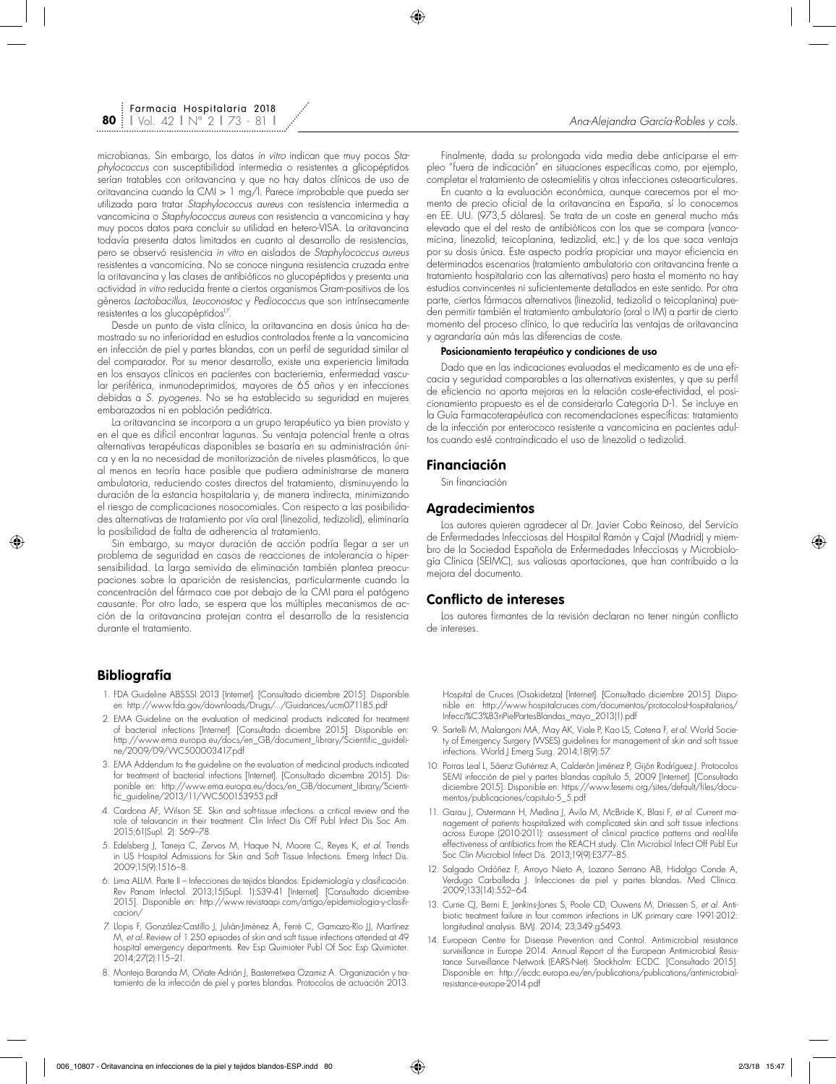microbianas. Sin embargo, los datos *in vitro* indican que muy pocos *Staphylococcus* con susceptibilidad intermedia o resistentes a glicopéptidos serían tratables con oritavancina y que no hay datos clínicos de uso de oritavancina cuando la CMI > 1 mg/l. Parece improbable que pueda ser utilizada para tratar *Staphylococcus aureus* con resistencia intermedia a vancomicina o *Staphylococcus aureus* con resistencia a vancomicina y hay muy pocos datos para concluir su utilidad en hetero-VISA. La oritavancina todavía presenta datos limitados en cuanto al desarrollo de resistencias, pero se observó resistencia *in vitro* en aislados de *Staphylococcus aureus* resistentes a vancomicina. No se conoce ninguna resistencia cruzada entre la oritavancina y las clases de antibióticos no glucopéptidos y presenta una actividad *in vitro* reducida frente a ciertos organismos Gram-positivos de los géneros *Lactobacillus, Leuconostoc* y *Pediococcus* que son intrínsecamente resistentes a los glucopéptidos<sup>17</sup>.

Desde un punto de vista clínico, la oritavancina en dosis única ha demostrado su no inferioridad en estudios controlados frente a la vancomicina en infección de piel y partes blandas, con un perfil de seguridad similar al del comparador. Por su menor desarrollo, existe una experiencia limitada en los ensayos clínicos en pacientes con bacteriemia, enfermedad vascular periférica, inmunodeprimidos, mayores de 65 años y en infecciones debidas a *S. pyogenes*. No se ha establecido su seguridad en mujeres embarazadas ni en población pediátrica.

La oritavancina se incorpora a un grupo terapéutico ya bien provisto y en el que es difícil encontrar lagunas. Su ventaja potencial frente a otras alternativas terapéuticas disponibles se basaría en su administración única y en la no necesidad de monitorización de niveles plasmáticos, lo que al menos en teoría hace posible que pudiera administrarse de manera ambulatoria, reduciendo costes directos del tratamiento, disminuyendo la duración de la estancia hospitalaria y, de manera indirecta, minimizando el riesgo de complicaciones nosocomiales. Con respecto a las posibilidades alternativas de tratamiento por vía oral (linezolid, tedizolid), eliminaría la posibilidad de falta de adherencia al tratamiento.

Sin embargo, su mayor duración de acción podría llegar a ser un problema de seguridad en casos de reacciones de intolerancia o hipersensibilidad. La larga semivida de eliminación también plantea preocupaciones sobre la aparición de resistencias, particularmente cuando la concentración del fármaco cae por debajo de la CMI para el patógeno causante. Por otro lado, se espera que los múltiples mecanismos de acción de la oritavancina protejan contra el desarrollo de la resistencia durante el tratamiento.

# **Bibliografía**

- 1. FDA Guideline ABSSSI 2013 [Internet]. [Consultado diciembre 2015]. Disponible en: http://www.fda.gov/downloads/Drugs/.../Guidances/ucm071185.pdf
- 2. EMA Guideline on the evaluation of medicinal products indicated for treatment of bacterial infections [Internet]. [Consultado diciembre 2015]. Disponible en: http://www.ema.europa.eu/docs/en\_GB/document\_library/Scientific\_guideline/2009/09/WC500003417.pdf
- 3. EMA Addendum to the guideline on the evaluation of medicinal products indicated for treatment of bacterial infections [Internet]. [Consultado diciembre 2015]. Disponible en: http://www.ema.europa.eu/docs/en\_GB/document\_library/Scientific\_guideline/2013/11/WC500153953.pdf
- 4. Cardona AF, Wilson SE. Skin and soft-tissue infections: a critical review and the role of telavancin in their treatment. Clin Infect Dis Off Publ Infect Dis Soc Am. 2015;61(Supl. 2): S69–78.
- 5. Edelsberg J, Taneja C, Zervos M, Haque N, Moore C, Reyes K, *et al.* Trends in US Hospital Admissions for Skin and Soft Tissue Infections. Emerg Infect Dis. 2009;15(9):1516–8.
- 6. Lima ALLM. Parte II Infecciones de tejidos blandos: Epidemiología y clasificación. Rev Panam Infectol. 2013;15(Supl. 1):S39-41 [Internet]. [Consultado diciembre 2015]. Disponible en: http://www.revistaapi.com/artigo/epidemiologia-y-clasificacion/
- 7. Llopis F, González-Castillo J, Julián-Jiménez A, Ferré C, Gamazo-Río JJ, Martínez M, *et al.* Review of 1.250 episodes of skin and soft tissue infections attended at 49 hospital emergency departments. Rev Esp Quimioter Publ Of Soc Esp Quimioter. 2014;27(2):115–21.
- 8. Montejo Baranda M, Oñate Adrián J, Basterretxea Ozamiz A. Organización y tratamiento de la infección de piel y partes blandas. Protocolos de actuación 2013.

Finalmente, dada su prolongada vida media debe anticiparse el empleo "fuera de indicación" en situaciones específicas como, por ejemplo, completar el tratamiento de osteomielitis y otras infecciones osteoarticulares.

En cuanto a la evaluación económica, aunque carecemos por el momento de precio oficial de la oritavancina en España, sí lo conocemos en EE. UU. (973,5 dólares). Se trata de un coste en general mucho más elevado que el del resto de antibióticos con los que se compara (vancomicina, linezolid, teicoplanina, tedizolid, etc.) y de los que saca ventaja por su dosis única. Este aspecto podría propiciar una mayor eficiencia en determinados escenarios (tratamiento ambulatorio con oritavancina frente a tratamiento hospitalario con las alternativas) pero hasta el momento no hay estudios convincentes ni suficientemente detallados en este sentido. Por otra parte, ciertos fármacos alternativos (linezolid, tedizolid o teicoplanina) pueden permitir también el tratamiento ambulatorio (oral o IM) a partir de cierto momento del proceso clínico, lo que reduciría las ventajas de oritavancina y agrandaría aún más las diferencias de coste.

### Posicionamiento terapéutico y condiciones de uso

Dado que en las indicaciones evaluadas el medicamento es de una eficacia y seguridad comparables a las alternativas existentes, y que su perfil de eficiencia no aporta mejoras en la relación coste-efectividad, el posicionamiento propuesto es el de considerarlo Categoría D-1. Se incluye en la Guía Farmacoterapéutica con recomendaciones específicas: tratamiento de la infección por enterococo resistente a vancomicina en pacientes adultos cuando esté contraindicado el uso de linezolid o tedizolid.

## **Financiación**

Sin financiación

# **Agradecimientos**

Los autores quieren agradecer al Dr. Javier Cobo Reinoso, del Servicio de Enfermedades Infecciosas del Hospital Ramón y Cajal (Madrid) y miembro de la Sociedad Española de Enfermedades Infecciosas y Microbiología Clínica (SEIMC), sus valiosas aportaciones, que han contribuido a la mejora del documento.

## **Conflicto de intereses**

Los autores firmantes de la revisión declaran no tener ningún conflicto de intereses.

Hospital de Cruces (Osakidetza) [Internet]. [Consultado diciembre 2015]. Disponible en: http://www.hospitalcruces.com/documentos/protocolosHospitalarios/ Infecci%C3%B3nPielPartesBlandas\_mayo\_2013(1).pdf

- 9. Sartelli M, Malangoni MA, May AK, Viale P, Kao LS, Catena F, *et al.* World Society of Emergency Surgery (WSES) guidelines for management of skin and soft tissue infections. World J Emerg Surg. 2014;18(9):57.
- 10. Porras Leal L, Sáenz Gutiérrez A, Calderón Jiménez P, Gijón Rodríguez J. Protocolos SEMI infección de piel y partes blandas capítulo 5, 2009 [Internet]. [Consultado diciembre 2015]. Disponible en: https://www.fesemi.org/sites/default/files/documentos/publicaciones/capitulo-5\_5.pdf
- 11. Garau J, Ostermann H, Medina J, Avila M, McBride K, Blasi F, *et al.* Current management of patients hospitalized with complicated skin and soft tissue infections across Europe (2010-2011): assessment of clinical practice patterns and real-life effectiveness of antibiotics from the REACH study. Clin Microbiol Infect Off Publ Eur Soc Clin Microbiol Infect Dis. 2013;19(9):E377–85.
- 12. Salgado Ordóñez F, Arroyo Nieto A, Lozano Serrano AB, Hidalgo Conde A, Verdugo Carballeda J. Infecciones de piel y partes blandas. Med Clínica. 2009;133(14):552–64.
- 13. Currie CJ, Berni E, Jenkins-Jones S, Poole CD, Ouwens M, Driessen S, *et al.* Antibiotic treatment failure in four common infections in UK primary care 1991-2012: longitudinal analysis. BMJ. 2014; 23;349:g5493.
- 14. European Centre for Disease Prevention and Control. Antimicrobial resistance surveillance in Europe 2014. Annual Report of the European Antimicrobial Resistance Surveillance Network (EARS-Net). Stockholm: ECDC. [Consultado 2015]. Disponible en: http://ecdc.europa.eu/en/publications/publications/antimicrobialresistance-europe-2014.pdf